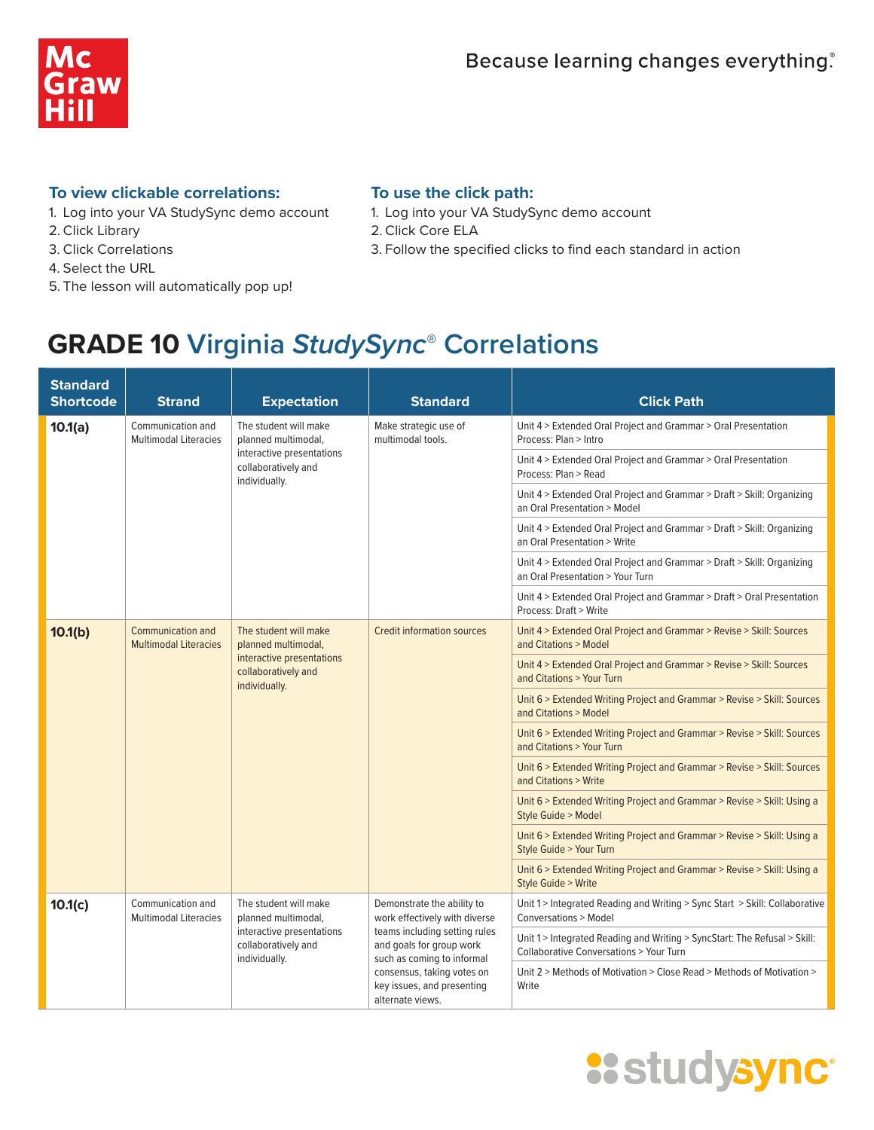

#### **To view clickable correlations:**

- 1. Log into your VA StudySync demo account
- 2. Click Library
- 3. Click Correlations
- 4. Select the URL
- 5. The lesson will automatically pop up!

#### **To use the click path:**

- 1. Log into your VA StudySync demo account
- 2. Click Core ELA
- 3. Follow the specified clicks to find each standard in action

| <b>Standard</b><br><b>Shortcode</b> | Strand                                                                                                                                                                        | <b>Expectation</b>                                                | <b>Standard</b>                                                                         | <b>Click Path</b>                                                                                                              |
|-------------------------------------|-------------------------------------------------------------------------------------------------------------------------------------------------------------------------------|-------------------------------------------------------------------|-----------------------------------------------------------------------------------------|--------------------------------------------------------------------------------------------------------------------------------|
| 10.1(a)                             | Communication and<br><b>Multimodal Literacies</b>                                                                                                                             | The student will make<br>planned multimodal,                      | Make strategic use of<br>multimodal tools.                                              | Unit 4 > Extended Oral Project and Grammar > Oral Presentation<br>Process: Plan > Intro                                        |
|                                     |                                                                                                                                                                               | interactive presentations<br>collaboratively and<br>individually. |                                                                                         | Unit 4 > Extended Oral Project and Grammar > Oral Presentation<br>Process: Plan > Read                                         |
|                                     |                                                                                                                                                                               |                                                                   |                                                                                         | Unit 4 > Extended Oral Project and Grammar > Draft > Skill: Organizing<br>an Oral Presentation > Model                         |
|                                     |                                                                                                                                                                               |                                                                   |                                                                                         | Unit 4 > Extended Oral Project and Grammar > Draft > Skill: Organizing<br>an Oral Presentation > Write                         |
|                                     |                                                                                                                                                                               |                                                                   |                                                                                         | Unit 4 > Extended Oral Project and Grammar > Draft > Skill: Organizing<br>an Oral Presentation > Your Turn                     |
|                                     |                                                                                                                                                                               |                                                                   |                                                                                         | Unit 4 > Extended Oral Project and Grammar > Draft > Oral Presentation<br>Process: Draft > Write                               |
| 10.1(b)                             | <b>Communication and</b><br>The student will make<br><b>Multimodal Literacies</b><br>planned multimodal,<br>interactive presentations<br>collaboratively and<br>individually. |                                                                   | <b>Credit information sources</b>                                                       | Unit 4 > Extended Oral Project and Grammar > Revise > Skill: Sources<br>and Citations > Model                                  |
|                                     |                                                                                                                                                                               |                                                                   |                                                                                         | Unit 4 > Extended Oral Project and Grammar > Revise > Skill: Sources<br>and Citations > Your Turn                              |
|                                     |                                                                                                                                                                               |                                                                   |                                                                                         | Unit 6 > Extended Writing Project and Grammar > Revise > Skill: Sources<br>and Citations > Model                               |
|                                     |                                                                                                                                                                               |                                                                   |                                                                                         | Unit 6 > Extended Writing Project and Grammar > Revise > Skill: Sources<br>and Citations > Your Turn                           |
|                                     |                                                                                                                                                                               |                                                                   |                                                                                         | Unit 6 > Extended Writing Project and Grammar > Revise > Skill: Sources<br>and Citations > Write                               |
|                                     |                                                                                                                                                                               |                                                                   |                                                                                         | Unit 6 > Extended Writing Project and Grammar > Revise > Skill: Using a<br>Style Guide > Model                                 |
|                                     |                                                                                                                                                                               |                                                                   |                                                                                         | Unit 6 > Extended Writing Project and Grammar > Revise > Skill: Using a<br>Style Guide > Your Turn                             |
|                                     |                                                                                                                                                                               |                                                                   |                                                                                         | Unit 6 > Extended Writing Project and Grammar > Revise > Skill: Using a<br>Style Guide > Write                                 |
| 10.1(c)                             | Communication and<br><b>Multimodal Literacies</b>                                                                                                                             | The student will make<br>planned multimodal,                      | Demonstrate the ability to<br>work effectively with diverse                             | Unit 1 > Integrated Reading and Writing > Sync Start > Skill: Collaborative<br><b>Conversations &gt; Model</b>                 |
|                                     |                                                                                                                                                                               | interactive presentations<br>collaboratively and<br>individually. | teams including setting rules<br>and goals for group work<br>such as coming to informal | Unit 1 > Integrated Reading and Writing > SyncStart: The Refusal > Skill:<br><b>Collaborative Conversations &gt; Your Turn</b> |
|                                     |                                                                                                                                                                               |                                                                   | consensus, taking votes on<br>key issues, and presenting<br>alternate views.            | Unit 2 > Methods of Motivation > Close Read > Methods of Motivation ><br>Write                                                 |

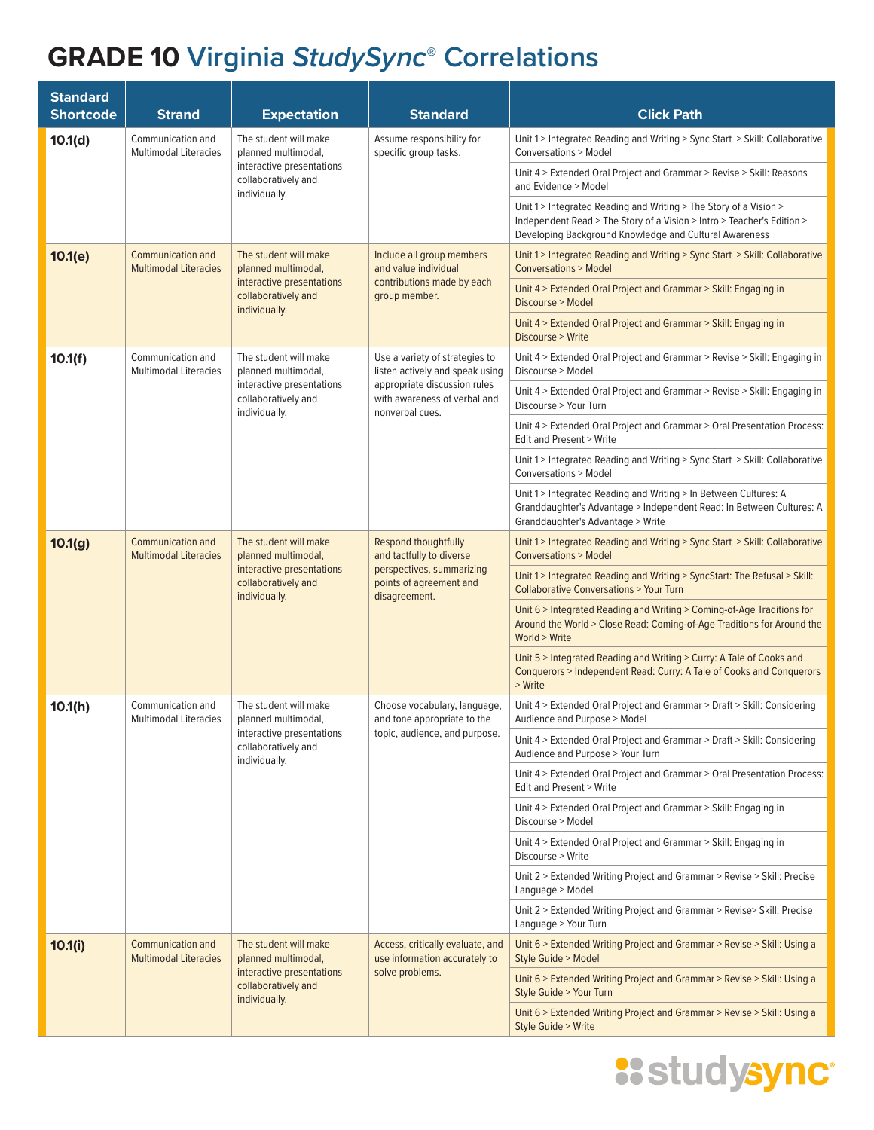| <b>Standard</b><br><b>Shortcode</b> | <b>Strand</b>                                                                                                                                                          | <b>Expectation</b>                                                                                                | <b>Standard</b>                                                                                                                                                                                       | <b>Click Path</b>                                                                                                                                                            |
|-------------------------------------|------------------------------------------------------------------------------------------------------------------------------------------------------------------------|-------------------------------------------------------------------------------------------------------------------|-------------------------------------------------------------------------------------------------------------------------------------------------------------------------------------------------------|------------------------------------------------------------------------------------------------------------------------------------------------------------------------------|
| 10.1(d)                             | Communication and<br>The student will make<br><b>Multimodal Literacies</b><br>planned multimodal,<br>interactive presentations<br>collaboratively and<br>individually. |                                                                                                                   | Assume responsibility for<br>specific group tasks.                                                                                                                                                    | Unit 1 > Integrated Reading and Writing > Sync Start > Skill: Collaborative<br><b>Conversations &gt; Model</b>                                                               |
|                                     |                                                                                                                                                                        |                                                                                                                   |                                                                                                                                                                                                       | Unit 4 > Extended Oral Project and Grammar > Revise > Skill: Reasons<br>and Evidence > Model                                                                                 |
|                                     |                                                                                                                                                                        |                                                                                                                   | Unit 1 > Integrated Reading and Writing > The Story of a Vision ><br>Independent Read > The Story of a Vision > Intro > Teacher's Edition ><br>Developing Background Knowledge and Cultural Awareness |                                                                                                                                                                              |
| 10.1(e)                             | Communication and<br><b>Multimodal Literacies</b>                                                                                                                      | The student will make<br>planned multimodal,                                                                      | Include all group members<br>and value individual                                                                                                                                                     | Unit 1 > Integrated Reading and Writing > Sync Start > Skill: Collaborative<br><b>Conversations &gt; Model</b>                                                               |
|                                     |                                                                                                                                                                        | interactive presentations<br>collaboratively and<br>individually.                                                 | contributions made by each<br>group member.                                                                                                                                                           | Unit 4 > Extended Oral Project and Grammar > Skill: Engaging in<br>Discourse > Model                                                                                         |
|                                     |                                                                                                                                                                        |                                                                                                                   |                                                                                                                                                                                                       | Unit 4 > Extended Oral Project and Grammar > Skill: Engaging in<br>Discourse > Write                                                                                         |
| 10.1(f)                             | Communication and<br><b>Multimodal Literacies</b>                                                                                                                      | The student will make<br>planned multimodal,                                                                      | Use a variety of strategies to<br>listen actively and speak using                                                                                                                                     | Unit 4 > Extended Oral Project and Grammar > Revise > Skill: Engaging in<br>Discourse > Model                                                                                |
|                                     |                                                                                                                                                                        | interactive presentations<br>collaboratively and<br>individually.                                                 | appropriate discussion rules<br>with awareness of verbal and<br>nonverbal cues.                                                                                                                       | Unit 4 > Extended Oral Project and Grammar > Revise > Skill: Engaging in<br>Discourse > Your Turn                                                                            |
|                                     |                                                                                                                                                                        |                                                                                                                   |                                                                                                                                                                                                       | Unit 4 > Extended Oral Project and Grammar > Oral Presentation Process:<br>Edit and Present > Write                                                                          |
|                                     |                                                                                                                                                                        |                                                                                                                   |                                                                                                                                                                                                       | Unit 1 > Integrated Reading and Writing > Sync Start > Skill: Collaborative<br>Conversations > Model                                                                         |
|                                     |                                                                                                                                                                        |                                                                                                                   |                                                                                                                                                                                                       | Unit 1> Integrated Reading and Writing > In Between Cultures: A<br>Granddaughter's Advantage > Independent Read: In Between Cultures: A<br>Granddaughter's Advantage > Write |
| 10.1(g)                             | <b>Communication and</b><br><b>Multimodal Literacies</b>                                                                                                               | The student will make<br>planned multimodal,<br>interactive presentations<br>collaboratively and<br>individually. | Respond thoughtfully<br>and tactfully to diverse<br>perspectives, summarizing<br>points of agreement and<br>disagreement.                                                                             | Unit 1 > Integrated Reading and Writing > Sync Start > Skill: Collaborative<br><b>Conversations &gt; Model</b>                                                               |
|                                     |                                                                                                                                                                        |                                                                                                                   |                                                                                                                                                                                                       | Unit 1 > Integrated Reading and Writing > SyncStart: The Refusal > Skill:<br><b>Collaborative Conversations &gt; Your Turn</b>                                               |
|                                     |                                                                                                                                                                        |                                                                                                                   |                                                                                                                                                                                                       | Unit 6 > Integrated Reading and Writing > Coming-of-Age Traditions for<br>Around the World > Close Read: Coming-of-Age Traditions for Around the<br>World > Write            |
|                                     |                                                                                                                                                                        |                                                                                                                   |                                                                                                                                                                                                       | Unit 5 > Integrated Reading and Writing > Curry: A Tale of Cooks and<br>Conquerors > Independent Read: Curry: A Tale of Cooks and Conquerors<br>> Write                      |
| 10.1(h)                             | Communication and<br>Multimodal Literacies                                                                                                                             | The student will make<br>planned multimodal,<br>interactive presentations<br>collaboratively and<br>individually. | Choose vocabulary, language,<br>and tone appropriate to the<br>topic, audience, and purpose.                                                                                                          | Unit 4 > Extended Oral Project and Grammar > Draft > Skill: Considering<br>Audience and Purpose > Model                                                                      |
|                                     |                                                                                                                                                                        |                                                                                                                   |                                                                                                                                                                                                       | Unit 4 > Extended Oral Project and Grammar > Draft > Skill: Considering<br>Audience and Purpose > Your Turn                                                                  |
|                                     |                                                                                                                                                                        |                                                                                                                   |                                                                                                                                                                                                       | Unit 4 > Extended Oral Project and Grammar > Oral Presentation Process:<br>Edit and Present > Write                                                                          |
|                                     |                                                                                                                                                                        |                                                                                                                   |                                                                                                                                                                                                       | Unit 4 > Extended Oral Project and Grammar > Skill: Engaging in<br>Discourse > Model                                                                                         |
|                                     |                                                                                                                                                                        |                                                                                                                   |                                                                                                                                                                                                       | Unit 4 > Extended Oral Project and Grammar > Skill: Engaging in<br>Discourse > Write                                                                                         |
|                                     |                                                                                                                                                                        |                                                                                                                   |                                                                                                                                                                                                       | Unit 2 > Extended Writing Project and Grammar > Revise > Skill: Precise<br>Language > Model                                                                                  |
|                                     |                                                                                                                                                                        |                                                                                                                   |                                                                                                                                                                                                       | Unit 2 > Extended Writing Project and Grammar > Revise > Skill: Precise<br>Language > Your Turn                                                                              |
| 10.1(i)                             | <b>Communication and</b><br><b>Multimodal Literacies</b>                                                                                                               | The student will make<br>planned multimodal,                                                                      | Access, critically evaluate, and<br>use information accurately to                                                                                                                                     | Unit 6 > Extended Writing Project and Grammar > Revise > Skill: Using a<br>Style Guide > Model                                                                               |
|                                     |                                                                                                                                                                        | interactive presentations<br>collaboratively and<br>individually.                                                 | solve problems.                                                                                                                                                                                       | Unit 6 > Extended Writing Project and Grammar > Revise > Skill: Using a<br>Style Guide > Your Turn                                                                           |
|                                     |                                                                                                                                                                        |                                                                                                                   |                                                                                                                                                                                                       | Unit 6 > Extended Writing Project and Grammar > Revise > Skill: Using a<br>Style Guide > Write                                                                               |

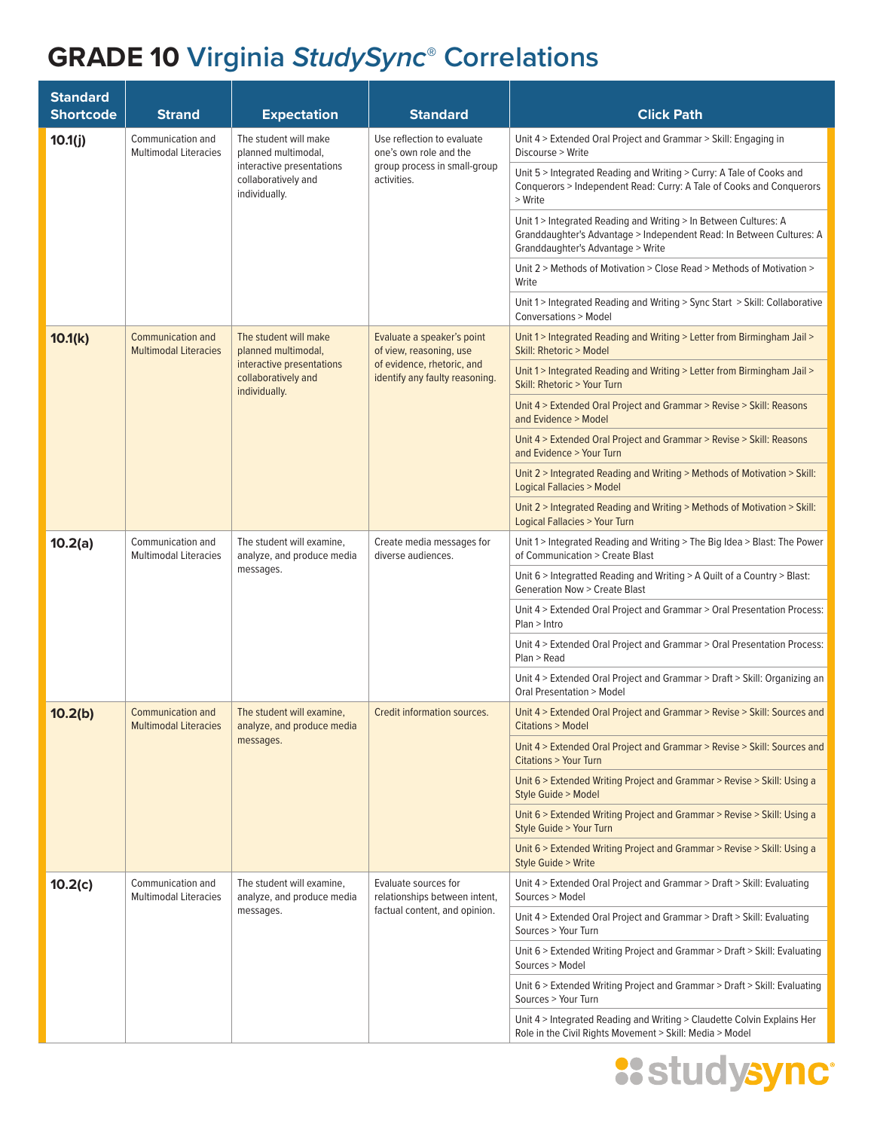| <b>Standard</b><br><b>Shortcode</b> | <b>Strand</b>                                                                         | <b>Expectation</b>                                                   | <b>Standard</b>                                              | <b>Click Path</b>                                                                                                                                                             |
|-------------------------------------|---------------------------------------------------------------------------------------|----------------------------------------------------------------------|--------------------------------------------------------------|-------------------------------------------------------------------------------------------------------------------------------------------------------------------------------|
| 10.1(j)                             | Communication and<br><b>Multimodal Literacies</b>                                     | The student will make<br>planned multimodal,                         | Use reflection to evaluate<br>one's own role and the         | Unit 4 > Extended Oral Project and Grammar > Skill: Engaging in<br>Discourse > Write                                                                                          |
|                                     |                                                                                       | interactive presentations<br>collaboratively and<br>individually.    | group process in small-group<br>activities.                  | Unit 5 > Integrated Reading and Writing > Curry: A Tale of Cooks and<br>Conquerors > Independent Read: Curry: A Tale of Cooks and Conquerors<br>> Write                       |
|                                     |                                                                                       |                                                                      |                                                              | Unit 1 > Integrated Reading and Writing > In Between Cultures: A<br>Granddaughter's Advantage > Independent Read: In Between Cultures: A<br>Granddaughter's Advantage > Write |
|                                     |                                                                                       |                                                                      |                                                              | Unit 2 > Methods of Motivation > Close Read > Methods of Motivation ><br>Write                                                                                                |
|                                     |                                                                                       |                                                                      |                                                              | Unit 1 > Integrated Reading and Writing > Sync Start > Skill: Collaborative<br><b>Conversations &gt; Model</b>                                                                |
| 10.1(k)                             | <b>Communication and</b><br><b>Multimodal Literacies</b>                              | The student will make<br>planned multimodal,                         | Evaluate a speaker's point<br>of view, reasoning, use        | Unit 1 > Integrated Reading and Writing > Letter from Birmingham Jail ><br>Skill: Rhetoric > Model                                                                            |
|                                     |                                                                                       | interactive presentations<br>collaboratively and<br>individually.    | of evidence, rhetoric, and<br>identify any faulty reasoning. | Unit 1 > Integrated Reading and Writing > Letter from Birmingham Jail ><br>Skill: Rhetoric > Your Turn                                                                        |
|                                     |                                                                                       |                                                                      |                                                              | Unit 4 > Extended Oral Project and Grammar > Revise > Skill: Reasons<br>and Evidence > Model                                                                                  |
|                                     |                                                                                       |                                                                      |                                                              | Unit 4 > Extended Oral Project and Grammar > Revise > Skill: Reasons<br>and Evidence > Your Turn                                                                              |
|                                     |                                                                                       |                                                                      |                                                              | Unit 2 > Integrated Reading and Writing > Methods of Motivation > Skill:<br>Logical Fallacies > Model                                                                         |
|                                     |                                                                                       |                                                                      |                                                              | Unit 2 > Integrated Reading and Writing > Methods of Motivation > Skill:<br>Logical Fallacies > Your Turn                                                                     |
| 10.2(a)                             | Communication and<br><b>Multimodal Literacies</b>                                     | The student will examine,<br>analyze, and produce media<br>messages. | Create media messages for<br>diverse audiences.              | Unit 1 > Integrated Reading and Writing > The Big Idea > Blast: The Power<br>of Communication > Create Blast                                                                  |
|                                     |                                                                                       |                                                                      |                                                              | Unit 6 > Integratted Reading and Writing > A Quilt of a Country > Blast:<br><b>Generation Now &gt; Create Blast</b>                                                           |
|                                     |                                                                                       |                                                                      |                                                              | Unit 4 > Extended Oral Project and Grammar > Oral Presentation Process:<br>Plan > Intro                                                                                       |
|                                     |                                                                                       |                                                                      |                                                              | Unit 4 > Extended Oral Project and Grammar > Oral Presentation Process:<br>Plan > Read                                                                                        |
|                                     |                                                                                       |                                                                      |                                                              | Unit 4 > Extended Oral Project and Grammar > Draft > Skill: Organizing an<br>Oral Presentation > Model                                                                        |
| 10.2(b)                             | <b>Communication and</b><br>The student will examine,<br><b>Multimodal Literacies</b> | analyze, and produce media                                           | Credit information sources.                                  | Unit 4 > Extended Oral Project and Grammar > Revise > Skill: Sources and<br>Citations > Model                                                                                 |
|                                     |                                                                                       | messages.                                                            |                                                              | Unit 4 > Extended Oral Project and Grammar > Revise > Skill: Sources and<br><b>Citations &gt; Your Turn</b>                                                                   |
|                                     |                                                                                       |                                                                      |                                                              | Unit 6 > Extended Writing Project and Grammar > Revise > Skill: Using a<br>Style Guide > Model                                                                                |
|                                     |                                                                                       |                                                                      |                                                              | Unit 6 > Extended Writing Project and Grammar > Revise > Skill: Using a<br>Style Guide > Your Turn                                                                            |
|                                     |                                                                                       |                                                                      |                                                              | Unit 6 > Extended Writing Project and Grammar > Revise > Skill: Using a<br><b>Style Guide &gt; Write</b>                                                                      |
| 10.2(c)                             | Communication and<br><b>Multimodal Literacies</b>                                     | The student will examine,<br>analyze, and produce media              | Evaluate sources for<br>relationships between intent,        | Unit 4 > Extended Oral Project and Grammar > Draft > Skill: Evaluating<br>Sources > Model                                                                                     |
|                                     |                                                                                       | messages.                                                            | factual content, and opinion.                                | Unit 4 > Extended Oral Project and Grammar > Draft > Skill: Evaluating<br>Sources > Your Turn                                                                                 |
|                                     |                                                                                       |                                                                      |                                                              | Unit 6 > Extended Writing Project and Grammar > Draft > Skill: Evaluating<br>Sources > Model                                                                                  |
|                                     |                                                                                       |                                                                      |                                                              | Unit 6 > Extended Writing Project and Grammar > Draft > Skill: Evaluating<br>Sources > Your Turn                                                                              |
|                                     |                                                                                       |                                                                      |                                                              | Unit 4 > Integrated Reading and Writing > Claudette Colvin Explains Her<br>Role in the Civil Rights Movement > Skill: Media > Model                                           |

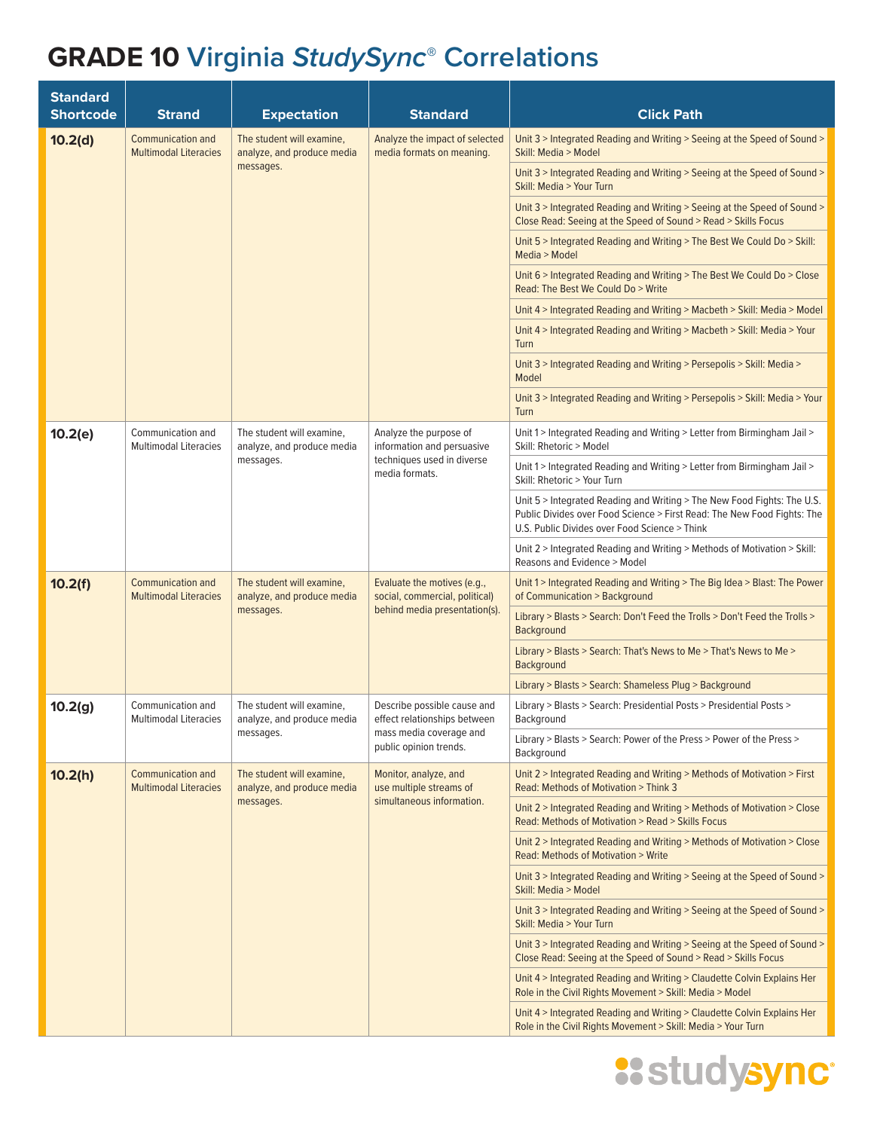| <b>Standard</b><br><b>Shortcode</b> | <b>Strand</b>                                            | <b>Expectation</b>                                                   | <b>Standard</b>                                                                                | <b>Click Path</b>                                                                                                                                                                                   |
|-------------------------------------|----------------------------------------------------------|----------------------------------------------------------------------|------------------------------------------------------------------------------------------------|-----------------------------------------------------------------------------------------------------------------------------------------------------------------------------------------------------|
| 10.2(d)                             | <b>Communication and</b><br><b>Multimodal Literacies</b> | The student will examine,<br>analyze, and produce media              | Analyze the impact of selected<br>media formats on meaning.                                    | Unit 3 > Integrated Reading and Writing > Seeing at the Speed of Sound ><br>Skill: Media > Model                                                                                                    |
|                                     |                                                          | messages.                                                            |                                                                                                | Unit 3 > Integrated Reading and Writing > Seeing at the Speed of Sound ><br>Skill: Media > Your Turn                                                                                                |
|                                     |                                                          |                                                                      |                                                                                                | Unit 3 > Integrated Reading and Writing > Seeing at the Speed of Sound ><br>Close Read: Seeing at the Speed of Sound > Read > Skills Focus                                                          |
|                                     |                                                          |                                                                      |                                                                                                | Unit 5 > Integrated Reading and Writing > The Best We Could Do > Skill:<br>Media > Model                                                                                                            |
|                                     |                                                          |                                                                      |                                                                                                | Unit 6 > Integrated Reading and Writing > The Best We Could Do > Close<br>Read: The Best We Could Do > Write                                                                                        |
|                                     |                                                          |                                                                      |                                                                                                | Unit 4 > Integrated Reading and Writing > Macbeth > Skill: Media > Model                                                                                                                            |
|                                     |                                                          |                                                                      |                                                                                                | Unit 4 > Integrated Reading and Writing > Macbeth > Skill: Media > Your<br>Turn                                                                                                                     |
|                                     |                                                          |                                                                      |                                                                                                | Unit 3 > Integrated Reading and Writing > Persepolis > Skill: Media ><br>Model                                                                                                                      |
|                                     |                                                          |                                                                      |                                                                                                | Unit 3 > Integrated Reading and Writing > Persepolis > Skill: Media > Your<br>Turn                                                                                                                  |
| 10.2(e)                             | Communication and<br><b>Multimodal Literacies</b>        | The student will examine,<br>analyze, and produce media              | Analyze the purpose of<br>information and persuasive                                           | Unit 1 > Integrated Reading and Writing > Letter from Birmingham Jail ><br>Skill: Rhetoric > Model                                                                                                  |
|                                     |                                                          | messages.                                                            | techniques used in diverse<br>media formats.                                                   | Unit 1 > Integrated Reading and Writing > Letter from Birmingham Jail ><br>Skill: Rhetoric > Your Turn                                                                                              |
|                                     |                                                          |                                                                      |                                                                                                | Unit 5 > Integrated Reading and Writing > The New Food Fights: The U.S.<br>Public Divides over Food Science > First Read: The New Food Fights: The<br>U.S. Public Divides over Food Science > Think |
|                                     |                                                          |                                                                      |                                                                                                | Unit 2 > Integrated Reading and Writing > Methods of Motivation > Skill:<br>Reasons and Evidence > Model                                                                                            |
| 10.2(f)                             | <b>Communication and</b><br><b>Multimodal Literacies</b> | The student will examine,<br>analyze, and produce media<br>messages. | Evaluate the motives (e.g.,<br>social, commercial, political)<br>behind media presentation(s). | Unit 1 > Integrated Reading and Writing > The Big Idea > Blast: The Power<br>of Communication > Background                                                                                          |
|                                     |                                                          |                                                                      |                                                                                                | Library > Blasts > Search: Don't Feed the Trolls > Don't Feed the Trolls ><br><b>Background</b>                                                                                                     |
|                                     |                                                          |                                                                      |                                                                                                | Library > Blasts > Search: That's News to Me > That's News to Me ><br><b>Background</b>                                                                                                             |
|                                     |                                                          |                                                                      |                                                                                                | Library > Blasts > Search: Shameless Plug > Background                                                                                                                                              |
| 10.2(g)                             | Communication and<br>Multimodal Literacies               | The student will examine,<br>analyze, and produce media              | Describe possible cause and<br>effect relationships between                                    | Library > Blasts > Search: Presidential Posts > Presidential Posts ><br>Background                                                                                                                  |
|                                     |                                                          | messages.                                                            | mass media coverage and<br>public opinion trends.                                              | Library > Blasts > Search: Power of the Press > Power of the Press ><br>Background                                                                                                                  |
| 10.2(h)                             | <b>Communication and</b><br><b>Multimodal Literacies</b> | The student will examine,<br>analyze, and produce media              | Monitor, analyze, and<br>use multiple streams of                                               | Unit 2 > Integrated Reading and Writing > Methods of Motivation > First<br>Read: Methods of Motivation > Think 3                                                                                    |
|                                     |                                                          | messages.                                                            | simultaneous information.                                                                      | Unit 2 > Integrated Reading and Writing > Methods of Motivation > Close<br>Read: Methods of Motivation > Read > Skills Focus                                                                        |
|                                     |                                                          |                                                                      |                                                                                                | Unit 2 > Integrated Reading and Writing > Methods of Motivation > Close<br>Read: Methods of Motivation > Write                                                                                      |
|                                     |                                                          |                                                                      |                                                                                                | Unit 3 > Integrated Reading and Writing > Seeing at the Speed of Sound ><br>Skill: Media > Model                                                                                                    |
|                                     |                                                          |                                                                      |                                                                                                | Unit 3 > Integrated Reading and Writing > Seeing at the Speed of Sound ><br>Skill: Media > Your Turn                                                                                                |
|                                     |                                                          |                                                                      |                                                                                                | Unit 3 > Integrated Reading and Writing > Seeing at the Speed of Sound ><br>Close Read: Seeing at the Speed of Sound > Read > Skills Focus                                                          |
|                                     |                                                          |                                                                      |                                                                                                | Unit 4 > Integrated Reading and Writing > Claudette Colvin Explains Her<br>Role in the Civil Rights Movement > Skill: Media > Model                                                                 |
|                                     |                                                          |                                                                      |                                                                                                | Unit 4 > Integrated Reading and Writing > Claudette Colvin Explains Her<br>Role in the Civil Rights Movement > Skill: Media > Your Turn                                                             |

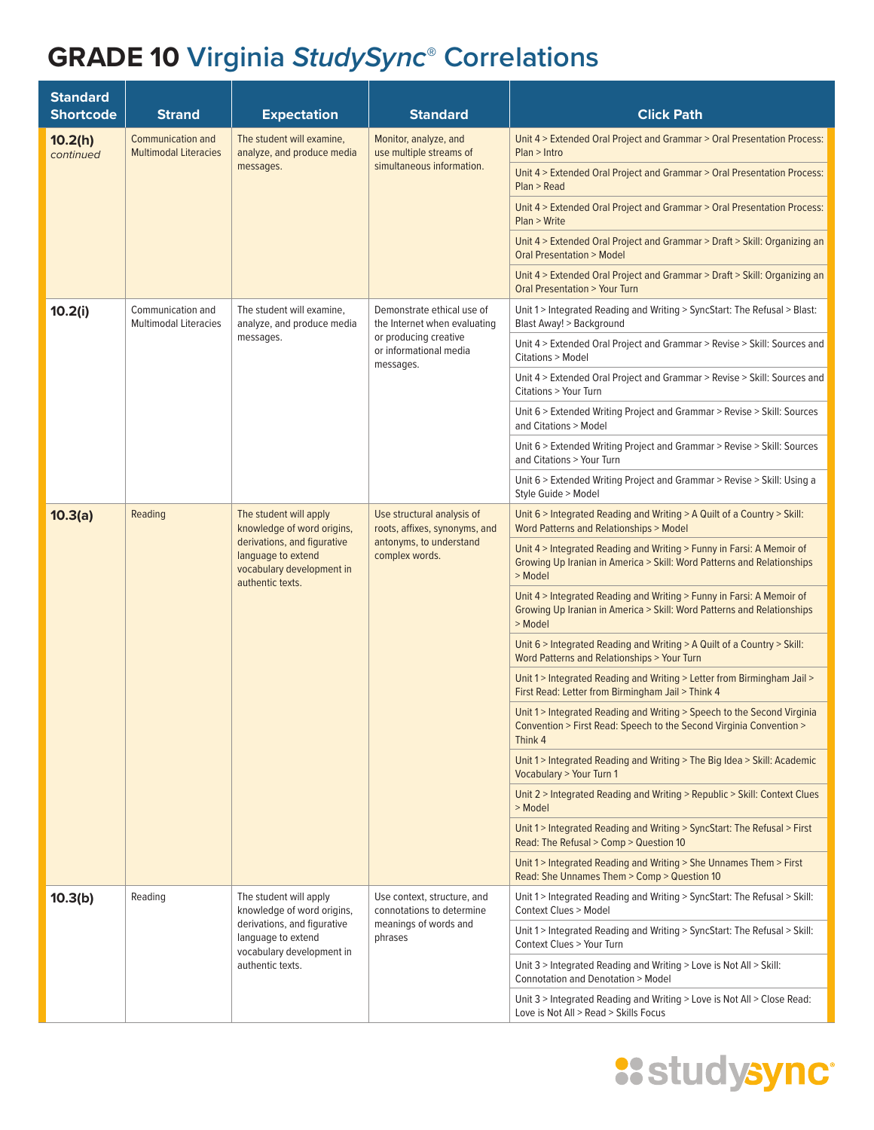| <b>Standard</b><br><b>Shortcode</b> | <b>Strand</b>                                            | <b>Expectation</b>                                                                                                                                         | <b>Standard</b>                                                                                          | <b>Click Path</b>                                                                                                                                          |
|-------------------------------------|----------------------------------------------------------|------------------------------------------------------------------------------------------------------------------------------------------------------------|----------------------------------------------------------------------------------------------------------|------------------------------------------------------------------------------------------------------------------------------------------------------------|
| 10.2(h)<br>continued                | <b>Communication and</b><br><b>Multimodal Literacies</b> | The student will examine,<br>analyze, and produce media                                                                                                    | Monitor, analyze, and<br>use multiple streams of                                                         | Unit 4 > Extended Oral Project and Grammar > Oral Presentation Process:<br>Plan > Intro                                                                    |
|                                     |                                                          | messages.                                                                                                                                                  | simultaneous information.                                                                                | Unit 4 > Extended Oral Project and Grammar > Oral Presentation Process:<br>Plan > Read                                                                     |
|                                     |                                                          |                                                                                                                                                            |                                                                                                          | Unit 4 > Extended Oral Project and Grammar > Oral Presentation Process:<br>Plan > Write                                                                    |
|                                     |                                                          |                                                                                                                                                            |                                                                                                          | Unit 4 > Extended Oral Project and Grammar > Draft > Skill: Organizing an<br><b>Oral Presentation &gt; Model</b>                                           |
|                                     |                                                          |                                                                                                                                                            |                                                                                                          | Unit 4 > Extended Oral Project and Grammar > Draft > Skill: Organizing an<br><b>Oral Presentation &gt; Your Turn</b>                                       |
| 10.2(i)                             | Communication and<br><b>Multimodal Literacies</b>        | The student will examine,<br>analyze, and produce media                                                                                                    | Demonstrate ethical use of<br>the Internet when evaluating                                               | Unit 1 > Integrated Reading and Writing > SyncStart: The Refusal > Blast:<br>Blast Away! > Background                                                      |
|                                     |                                                          | messages.                                                                                                                                                  | or producing creative<br>or informational media<br>messages.                                             | Unit 4 > Extended Oral Project and Grammar > Revise > Skill: Sources and<br>Citations > Model                                                              |
|                                     |                                                          |                                                                                                                                                            |                                                                                                          | Unit 4 > Extended Oral Project and Grammar > Revise > Skill: Sources and<br>Citations > Your Turn                                                          |
|                                     |                                                          |                                                                                                                                                            |                                                                                                          | Unit 6 > Extended Writing Project and Grammar > Revise > Skill: Sources<br>and Citations > Model                                                           |
|                                     |                                                          |                                                                                                                                                            |                                                                                                          | Unit 6 > Extended Writing Project and Grammar > Revise > Skill: Sources<br>and Citations > Your Turn                                                       |
|                                     |                                                          |                                                                                                                                                            |                                                                                                          | Unit 6 > Extended Writing Project and Grammar > Revise > Skill: Using a<br>Style Guide > Model                                                             |
| 10.3(a)                             | Reading                                                  | The student will apply<br>knowledge of word origins,<br>derivations, and figurative<br>language to extend<br>vocabulary development in<br>authentic texts. | Use structural analysis of<br>roots, affixes, synonyms, and<br>antonyms, to understand<br>complex words. | Unit 6 > Integrated Reading and Writing > A Quilt of a Country > Skill:<br><b>Word Patterns and Relationships &gt; Model</b>                               |
|                                     |                                                          |                                                                                                                                                            |                                                                                                          | Unit 4 > Integrated Reading and Writing > Funny in Farsi: A Memoir of<br>Growing Up Iranian in America > Skill: Word Patterns and Relationships<br>> Model |
|                                     |                                                          |                                                                                                                                                            |                                                                                                          | Unit 4 > Integrated Reading and Writing > Funny in Farsi: A Memoir of<br>Growing Up Iranian in America > Skill: Word Patterns and Relationships<br>> Model |
|                                     |                                                          |                                                                                                                                                            |                                                                                                          | Unit 6 > Integrated Reading and Writing > A Quilt of a Country > Skill:<br>Word Patterns and Relationships > Your Turn                                     |
|                                     |                                                          |                                                                                                                                                            |                                                                                                          | Unit 1 > Integrated Reading and Writing > Letter from Birmingham Jail ><br>First Read: Letter from Birmingham Jail > Think 4                               |
|                                     |                                                          |                                                                                                                                                            |                                                                                                          | Unit 1 > Integrated Reading and Writing > Speech to the Second Virginia<br>Convention > First Read: Speech to the Second Virginia Convention ><br>Think 4  |
|                                     |                                                          |                                                                                                                                                            |                                                                                                          | Unit 1 > Integrated Reading and Writing > The Big Idea > Skill: Academic<br><b>Vocabulary &gt; Your Turn 1</b>                                             |
|                                     |                                                          |                                                                                                                                                            |                                                                                                          | Unit 2 > Integrated Reading and Writing > Republic > Skill: Context Clues<br>> Model                                                                       |
|                                     |                                                          |                                                                                                                                                            |                                                                                                          | Unit 1 > Integrated Reading and Writing > SyncStart: The Refusal > First<br>Read: The Refusal > Comp > Question 10                                         |
|                                     |                                                          |                                                                                                                                                            |                                                                                                          | Unit 1 > Integrated Reading and Writing > She Unnames Them > First<br>Read: She Unnames Them > Comp > Question 10                                          |
| 10.3(b)                             | Reading                                                  | The student will apply<br>knowledge of word origins,                                                                                                       | Use context, structure, and<br>connotations to determine                                                 | Unit 1 > Integrated Reading and Writing > SyncStart: The Refusal > Skill:<br><b>Context Clues &gt; Model</b>                                               |
|                                     |                                                          | derivations, and figurative<br>language to extend<br>vocabulary development in                                                                             | meanings of words and<br>phrases                                                                         | Unit 1 > Integrated Reading and Writing > SyncStart: The Refusal > Skill:<br>Context Clues > Your Turn                                                     |
|                                     |                                                          | authentic texts.                                                                                                                                           |                                                                                                          | Unit 3 > Integrated Reading and Writing > Love is Not All > Skill:<br>Connotation and Denotation > Model                                                   |
|                                     |                                                          |                                                                                                                                                            |                                                                                                          | Unit 3 > Integrated Reading and Writing > Love is Not All > Close Read:<br>Love is Not All > Read > Skills Focus                                           |

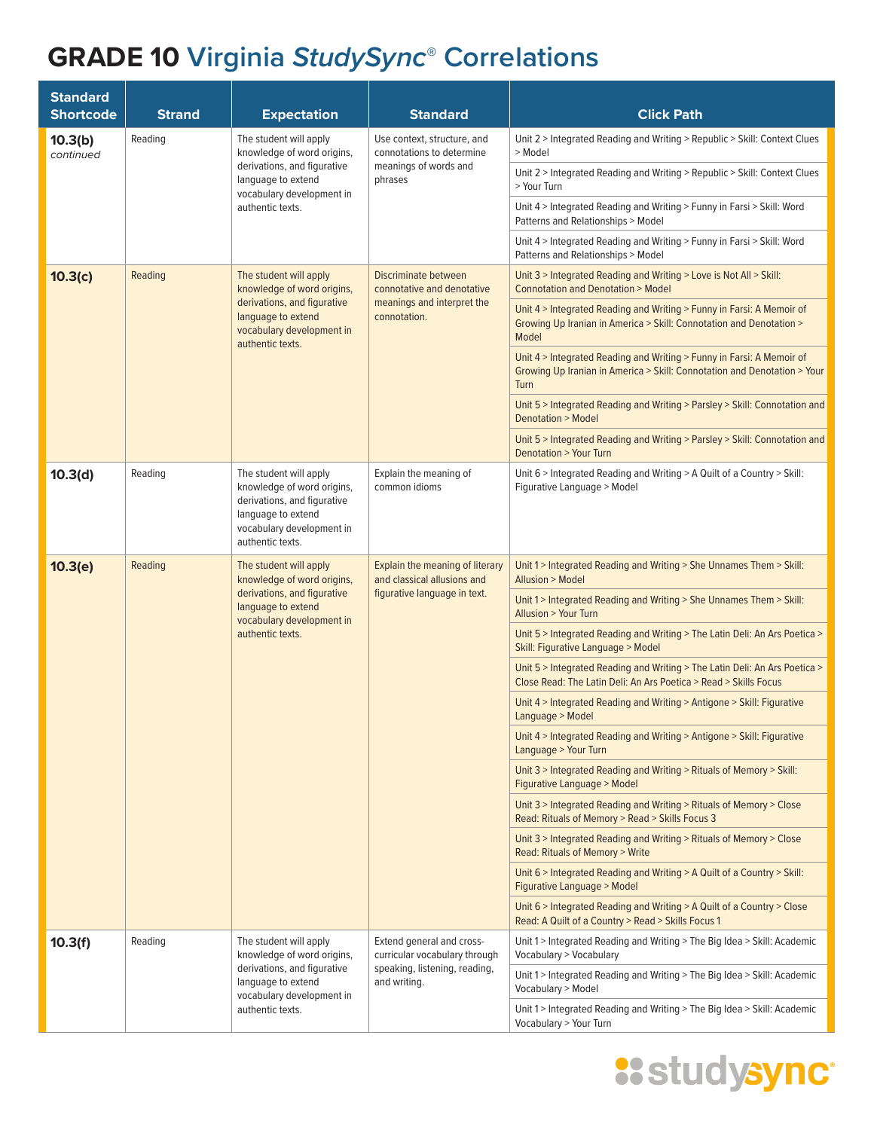| <b>Standard</b><br><b>Shortcode</b> | <b>Strand</b> | <b>Expectation</b>                                                                                                                                         | <b>Standard</b>                                                                                | <b>Click Path</b>                                                                                                                                         |
|-------------------------------------|---------------|------------------------------------------------------------------------------------------------------------------------------------------------------------|------------------------------------------------------------------------------------------------|-----------------------------------------------------------------------------------------------------------------------------------------------------------|
| 10.3(b)<br>continued                | Reading       | The student will apply<br>knowledge of word origins,                                                                                                       | Use context, structure, and<br>connotations to determine                                       | Unit 2 > Integrated Reading and Writing > Republic > Skill: Context Clues<br>> Model                                                                      |
|                                     |               | derivations, and figurative<br>language to extend<br>vocabulary development in                                                                             | meanings of words and<br>phrases                                                               | Unit 2 > Integrated Reading and Writing > Republic > Skill: Context Clues<br>> Your Turn                                                                  |
|                                     |               | authentic texts.                                                                                                                                           |                                                                                                | Unit 4 > Integrated Reading and Writing > Funny in Farsi > Skill: Word<br>Patterns and Relationships > Model                                              |
|                                     |               |                                                                                                                                                            |                                                                                                | Unit 4 > Integrated Reading and Writing > Funny in Farsi > Skill: Word<br>Patterns and Relationships > Model                                              |
| 10.3(c)                             | Reading       | The student will apply<br>knowledge of word origins,                                                                                                       | Discriminate between<br>connotative and denotative                                             | Unit 3 > Integrated Reading and Writing > Love is Not All > Skill:<br>Connotation and Denotation > Model                                                  |
|                                     |               | derivations, and figurative<br>language to extend<br>vocabulary development in<br>authentic texts.                                                         | meanings and interpret the<br>connotation.                                                     | Unit 4 > Integrated Reading and Writing > Funny in Farsi: A Memoir of<br>Growing Up Iranian in America > Skill: Connotation and Denotation ><br>Model     |
|                                     |               |                                                                                                                                                            |                                                                                                | Unit 4 > Integrated Reading and Writing > Funny in Farsi: A Memoir of<br>Growing Up Iranian in America > Skill: Connotation and Denotation > Your<br>Turn |
|                                     |               |                                                                                                                                                            |                                                                                                | Unit 5 > Integrated Reading and Writing > Parsley > Skill: Connotation and<br><b>Denotation &gt; Model</b>                                                |
|                                     |               |                                                                                                                                                            |                                                                                                | Unit 5 > Integrated Reading and Writing > Parsley > Skill: Connotation and<br>Denotation > Your Turn                                                      |
| 10.3(d)                             | Reading       | The student will apply<br>knowledge of word origins,<br>derivations, and figurative<br>language to extend<br>vocabulary development in<br>authentic texts. | Explain the meaning of<br>common idioms                                                        | Unit 6 > Integrated Reading and Writing > A Quilt of a Country > Skill:<br>Figurative Language > Model                                                    |
| 10.3(e)                             | Reading       | The student will apply<br>knowledge of word origins,<br>derivations, and figurative<br>language to extend<br>vocabulary development in<br>authentic texts. | Explain the meaning of literary<br>and classical allusions and<br>figurative language in text. | Unit 1 > Integrated Reading and Writing > She Unnames Them > Skill:<br>Allusion > Model                                                                   |
|                                     |               |                                                                                                                                                            |                                                                                                | Unit 1 > Integrated Reading and Writing > She Unnames Them > Skill:<br><b>Allusion &gt; Your Turn</b>                                                     |
|                                     |               |                                                                                                                                                            |                                                                                                | Unit 5 > Integrated Reading and Writing > The Latin Deli: An Ars Poetica ><br>Skill: Figurative Language > Model                                          |
|                                     |               |                                                                                                                                                            |                                                                                                | Unit 5 > Integrated Reading and Writing > The Latin Deli: An Ars Poetica ><br>Close Read: The Latin Deli: An Ars Poetica > Read > Skills Focus            |
|                                     |               |                                                                                                                                                            |                                                                                                | Unit 4 > Integrated Reading and Writing > Antigone > Skill: Figurative<br>Language > Model                                                                |
|                                     |               |                                                                                                                                                            |                                                                                                | Unit 4 > Integrated Reading and Writing > Antigone > Skill: Figurative<br>Language > Your Turn                                                            |
|                                     |               |                                                                                                                                                            |                                                                                                | Unit 3 > Integrated Reading and Writing > Rituals of Memory > Skill:<br>Figurative Language > Model                                                       |
|                                     |               |                                                                                                                                                            |                                                                                                | Unit 3 > Integrated Reading and Writing > Rituals of Memory > Close<br>Read: Rituals of Memory > Read > Skills Focus 3                                    |
|                                     |               |                                                                                                                                                            |                                                                                                | Unit 3 > Integrated Reading and Writing > Rituals of Memory > Close<br>Read: Rituals of Memory > Write                                                    |
|                                     |               |                                                                                                                                                            |                                                                                                | Unit 6 > Integrated Reading and Writing > A Quilt of a Country > Skill:<br>Figurative Language > Model                                                    |
|                                     |               |                                                                                                                                                            |                                                                                                | Unit 6 > Integrated Reading and Writing > A Quilt of a Country > Close<br>Read: A Quilt of a Country > Read > Skills Focus 1                              |
| 10.3(f)                             | Reading       | The student will apply<br>knowledge of word origins,                                                                                                       | Extend general and cross-<br>curricular vocabulary through                                     | Unit 1 > Integrated Reading and Writing > The Big Idea > Skill: Academic<br>Vocabulary > Vocabulary                                                       |
|                                     |               | derivations, and figurative<br>language to extend<br>vocabulary development in                                                                             | speaking, listening, reading,<br>and writing.                                                  | Unit 1 > Integrated Reading and Writing > The Big Idea > Skill: Academic<br>Vocabulary > Model                                                            |
|                                     |               | authentic texts.                                                                                                                                           |                                                                                                | Unit 1 > Integrated Reading and Writing > The Big Idea > Skill: Academic<br>Vocabulary > Your Turn                                                        |

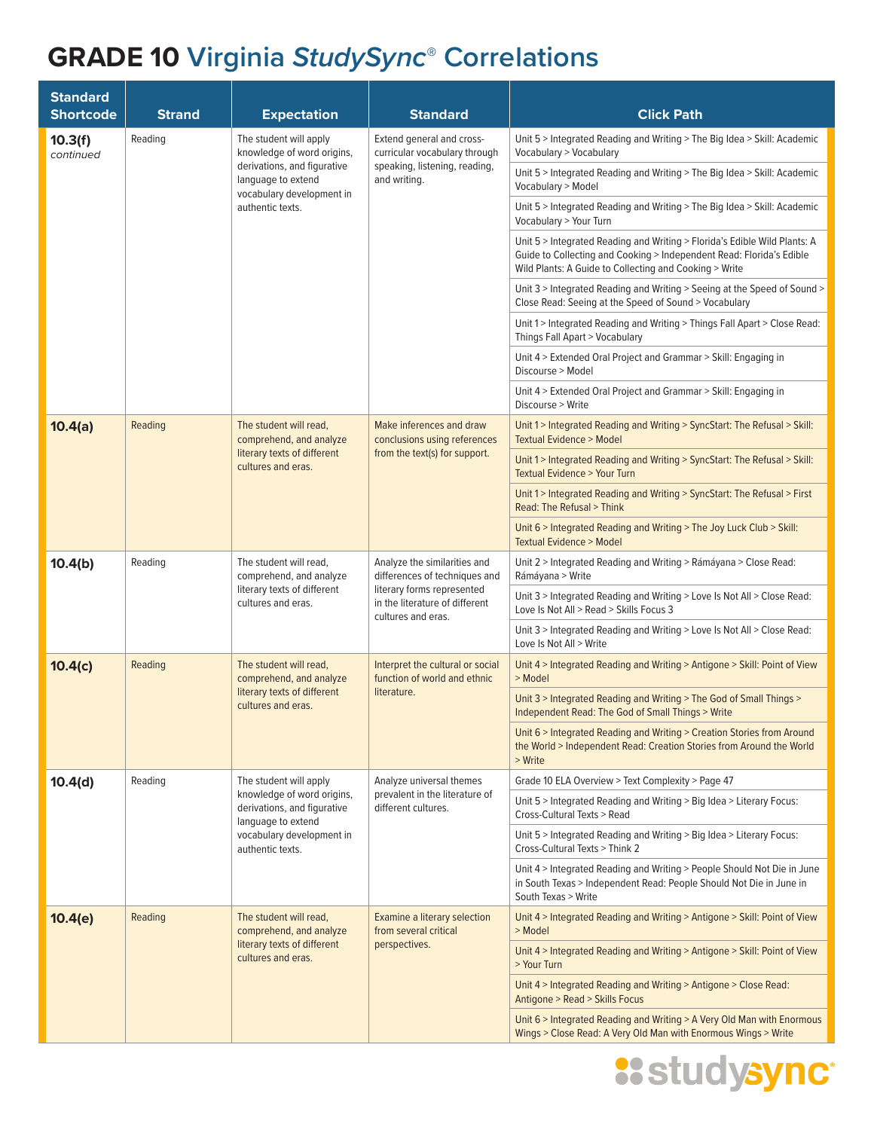| <b>Standard</b><br><b>Shortcode</b> | <b>Strand</b> | <b>Expectation</b>                                                                                     | <b>Standard</b>                                                                                                                                     | <b>Click Path</b>                                                                                                                                                                                           |
|-------------------------------------|---------------|--------------------------------------------------------------------------------------------------------|-----------------------------------------------------------------------------------------------------------------------------------------------------|-------------------------------------------------------------------------------------------------------------------------------------------------------------------------------------------------------------|
| 10.3(f)<br>continued                | Reading       | The student will apply<br>knowledge of word origins,                                                   | Extend general and cross-<br>curricular vocabulary through                                                                                          | Unit 5 > Integrated Reading and Writing > The Big Idea > Skill: Academic<br>Vocabulary > Vocabulary                                                                                                         |
|                                     |               | derivations, and figurative<br>language to extend<br>vocabulary development in<br>authentic texts.     | speaking, listening, reading,<br>and writing.                                                                                                       | Unit 5 > Integrated Reading and Writing > The Big Idea > Skill: Academic<br>Vocabulary > Model                                                                                                              |
|                                     |               |                                                                                                        |                                                                                                                                                     | Unit 5 > Integrated Reading and Writing > The Big Idea > Skill: Academic<br>Vocabulary > Your Turn                                                                                                          |
|                                     |               |                                                                                                        |                                                                                                                                                     | Unit 5 > Integrated Reading and Writing > Florida's Edible Wild Plants: A<br>Guide to Collecting and Cooking > Independent Read: Florida's Edible<br>Wild Plants: A Guide to Collecting and Cooking > Write |
|                                     |               |                                                                                                        |                                                                                                                                                     | Unit 3 > Integrated Reading and Writing > Seeing at the Speed of Sound ><br>Close Read: Seeing at the Speed of Sound > Vocabulary                                                                           |
|                                     |               |                                                                                                        |                                                                                                                                                     | Unit 1 > Integrated Reading and Writing > Things Fall Apart > Close Read:<br>Things Fall Apart > Vocabulary                                                                                                 |
|                                     |               |                                                                                                        |                                                                                                                                                     | Unit 4 > Extended Oral Project and Grammar > Skill: Engaging in<br>Discourse > Model                                                                                                                        |
|                                     |               |                                                                                                        |                                                                                                                                                     | Unit 4 > Extended Oral Project and Grammar > Skill: Engaging in<br>Discourse > Write                                                                                                                        |
| 10.4(a)                             | Reading       | The student will read,<br>comprehend, and analyze                                                      | Make inferences and draw<br>conclusions using references                                                                                            | Unit 1 > Integrated Reading and Writing > SyncStart: The Refusal > Skill:<br><b>Textual Evidence &gt; Model</b>                                                                                             |
|                                     |               | literary texts of different<br>cultures and eras.                                                      | from the text(s) for support.                                                                                                                       | Unit 1 > Integrated Reading and Writing > SyncStart: The Refusal > Skill:<br><b>Textual Evidence &gt; Your Turn</b>                                                                                         |
|                                     |               |                                                                                                        |                                                                                                                                                     | Unit 1 > Integrated Reading and Writing > SyncStart: The Refusal > First<br>Read: The Refusal > Think                                                                                                       |
|                                     |               |                                                                                                        |                                                                                                                                                     | Unit 6 > Integrated Reading and Writing > The Joy Luck Club > Skill:<br><b>Textual Evidence &gt; Model</b>                                                                                                  |
| 10.4(b)                             | Reading       | The student will read,<br>comprehend, and analyze<br>literary texts of different<br>cultures and eras. | Analyze the similarities and<br>differences of techniques and<br>literary forms represented<br>in the literature of different<br>cultures and eras. | Unit 2 > Integrated Reading and Writing > Rámáyana > Close Read:<br>Rámáyana > Write                                                                                                                        |
|                                     |               |                                                                                                        |                                                                                                                                                     | Unit 3 > Integrated Reading and Writing > Love Is Not All > Close Read:<br>Love Is Not All > Read > Skills Focus 3                                                                                          |
|                                     |               |                                                                                                        |                                                                                                                                                     | Unit 3 > Integrated Reading and Writing > Love Is Not All > Close Read:<br>Love Is Not All > Write                                                                                                          |
| 10.4(c)                             | Reading       | The student will read,<br>comprehend, and analyze<br>literary texts of different<br>cultures and eras. | Interpret the cultural or social<br>function of world and ethnic<br>literature.                                                                     | Unit 4 > Integrated Reading and Writing > Antigone > Skill: Point of View<br>> Model                                                                                                                        |
|                                     |               |                                                                                                        |                                                                                                                                                     | Unit 3 > Integrated Reading and Writing > The God of Small Things ><br>Independent Read: The God of Small Things > Write                                                                                    |
|                                     |               |                                                                                                        |                                                                                                                                                     | Unit 6 > Integrated Reading and Writing > Creation Stories from Around<br>the World > Independent Read: Creation Stories from Around the World<br>> Write                                                   |
| 10.4(d)                             | Reading       | The student will apply                                                                                 | Analyze universal themes                                                                                                                            | Grade 10 ELA Overview > Text Complexity > Page 47                                                                                                                                                           |
|                                     |               | knowledge of word origins,<br>derivations, and figurative<br>language to extend                        | prevalent in the literature of<br>different cultures.                                                                                               | Unit 5 > Integrated Reading and Writing > Big Idea > Literary Focus:<br>Cross-Cultural Texts > Read                                                                                                         |
|                                     |               | vocabulary development in<br>authentic texts.                                                          |                                                                                                                                                     | Unit 5 > Integrated Reading and Writing > Big Idea > Literary Focus:<br>Cross-Cultural Texts > Think 2                                                                                                      |
|                                     |               |                                                                                                        |                                                                                                                                                     | Unit 4 > Integrated Reading and Writing > People Should Not Die in June<br>in South Texas > Independent Read: People Should Not Die in June in<br>South Texas > Write                                       |
| 10.4(e)                             | Reading       | The student will read,<br>comprehend, and analyze                                                      | Examine a literary selection<br>from several critical                                                                                               | Unit 4 > Integrated Reading and Writing > Antigone > Skill: Point of View<br>> Model                                                                                                                        |
|                                     |               | literary texts of different<br>cultures and eras.                                                      | perspectives.                                                                                                                                       | Unit 4 > Integrated Reading and Writing > Antigone > Skill: Point of View<br>> Your Turn                                                                                                                    |
|                                     |               |                                                                                                        |                                                                                                                                                     | Unit 4 > Integrated Reading and Writing > Antigone > Close Read:<br>Antigone > Read > Skills Focus                                                                                                          |
|                                     |               |                                                                                                        |                                                                                                                                                     | Unit 6 > Integrated Reading and Writing > A Very Old Man with Enormous<br>Wings > Close Read: A Very Old Man with Enormous Wings > Write                                                                    |

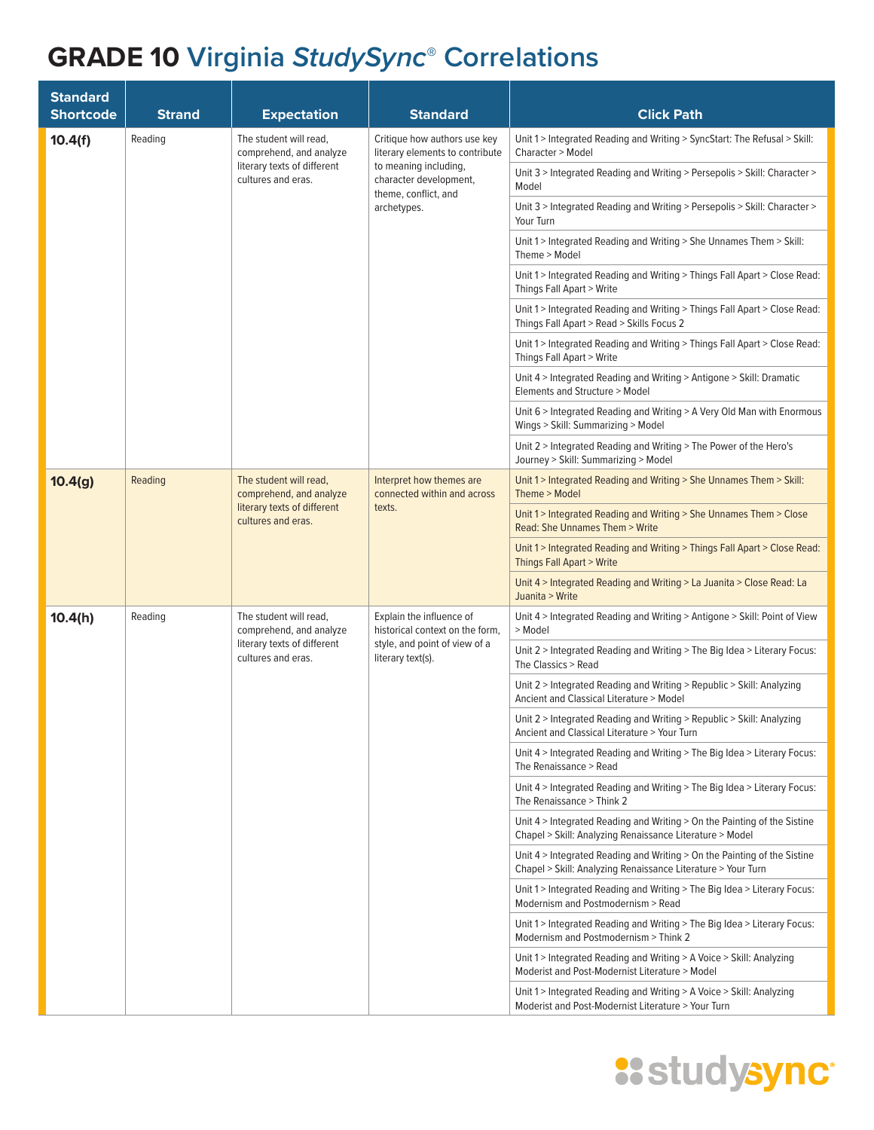| <b>Standard</b><br><b>Shortcode</b> | <b>Strand</b> | <b>Expectation</b>                                                                                     | <b>Standard</b>                                                                                                   | <b>Click Path</b>                                                                                                                        |
|-------------------------------------|---------------|--------------------------------------------------------------------------------------------------------|-------------------------------------------------------------------------------------------------------------------|------------------------------------------------------------------------------------------------------------------------------------------|
| 10.4(f)                             | Reading       | The student will read,<br>comprehend, and analyze                                                      | Critique how authors use key<br>literary elements to contribute                                                   | Unit 1 > Integrated Reading and Writing > SyncStart: The Refusal > Skill:<br>Character > Model                                           |
|                                     |               | literary texts of different<br>cultures and eras.                                                      | to meaning including,<br>character development,<br>theme, conflict, and                                           | Unit 3 > Integrated Reading and Writing > Persepolis > Skill: Character ><br>Model                                                       |
|                                     |               |                                                                                                        | archetypes.                                                                                                       | Unit 3 > Integrated Reading and Writing > Persepolis > Skill: Character ><br>Your Turn                                                   |
|                                     |               |                                                                                                        |                                                                                                                   | Unit 1 > Integrated Reading and Writing > She Unnames Them > Skill:<br>Theme > Model                                                     |
|                                     |               |                                                                                                        |                                                                                                                   | Unit 1 > Integrated Reading and Writing > Things Fall Apart > Close Read:<br>Things Fall Apart > Write                                   |
|                                     |               |                                                                                                        |                                                                                                                   | Unit 1 > Integrated Reading and Writing > Things Fall Apart > Close Read:<br>Things Fall Apart > Read > Skills Focus 2                   |
|                                     |               |                                                                                                        |                                                                                                                   | Unit 1 > Integrated Reading and Writing > Things Fall Apart > Close Read:<br>Things Fall Apart > Write                                   |
|                                     |               |                                                                                                        |                                                                                                                   | Unit 4 > Integrated Reading and Writing > Antigone > Skill: Dramatic<br>Elements and Structure > Model                                   |
|                                     |               |                                                                                                        |                                                                                                                   | Unit 6 > Integrated Reading and Writing > A Very Old Man with Enormous<br>Wings > Skill: Summarizing > Model                             |
|                                     |               |                                                                                                        | Unit 2 > Integrated Reading and Writing > The Power of the Hero's<br>Journey > Skill: Summarizing > Model         |                                                                                                                                          |
| 10.4(g)                             | Reading       | The student will read,<br>comprehend, and analyze<br>literary texts of different<br>cultures and eras. | Interpret how themes are<br>connected within and across<br>texts.                                                 | Unit 1 > Integrated Reading and Writing > She Unnames Them > Skill:<br>Theme > Model                                                     |
|                                     |               |                                                                                                        |                                                                                                                   | Unit 1 > Integrated Reading and Writing > She Unnames Them > Close<br><b>Read: She Unnames Them &gt; Write</b>                           |
|                                     |               |                                                                                                        |                                                                                                                   | Unit 1 > Integrated Reading and Writing > Things Fall Apart > Close Read:<br>Things Fall Apart > Write                                   |
|                                     |               |                                                                                                        | Unit 4 > Integrated Reading and Writing > La Juanita > Close Read: La<br>Juanita > Write                          |                                                                                                                                          |
| 10.4(h)                             | Reading       | The student will read,<br>comprehend, and analyze<br>literary texts of different<br>cultures and eras. | Explain the influence of<br>historical context on the form,<br>style, and point of view of a<br>literary text(s). | Unit 4 > Integrated Reading and Writing > Antigone > Skill: Point of View<br>> Model                                                     |
|                                     |               |                                                                                                        |                                                                                                                   | Unit 2 > Integrated Reading and Writing > The Big Idea > Literary Focus:<br>The Classics > Read                                          |
|                                     |               |                                                                                                        |                                                                                                                   | Unit 2 > Integrated Reading and Writing > Republic > Skill: Analyzing<br>Ancient and Classical Literature > Model                        |
|                                     |               |                                                                                                        |                                                                                                                   | Unit 2 > Integrated Reading and Writing > Republic > Skill: Analyzing<br>Ancient and Classical Literature > Your Turn                    |
|                                     |               |                                                                                                        |                                                                                                                   | Unit 4 > Integrated Reading and Writing > The Big Idea > Literary Focus:<br>The Renaissance > Read                                       |
|                                     |               |                                                                                                        |                                                                                                                   | Unit 4 > Integrated Reading and Writing > The Big Idea > Literary Focus:<br>The Renaissance > Think 2                                    |
|                                     |               |                                                                                                        |                                                                                                                   | Unit 4 > Integrated Reading and Writing > On the Painting of the Sistine<br>Chapel > Skill: Analyzing Renaissance Literature > Model     |
|                                     |               |                                                                                                        |                                                                                                                   | Unit 4 > Integrated Reading and Writing > On the Painting of the Sistine<br>Chapel > Skill: Analyzing Renaissance Literature > Your Turn |
|                                     |               |                                                                                                        |                                                                                                                   | Unit 1>Integrated Reading and Writing > The Big Idea > Literary Focus:<br>Modernism and Postmodernism > Read                             |
|                                     |               |                                                                                                        |                                                                                                                   | Unit 1 > Integrated Reading and Writing > The Big Idea > Literary Focus:<br>Modernism and Postmodernism > Think 2                        |
|                                     |               |                                                                                                        |                                                                                                                   | Unit 1 > Integrated Reading and Writing > A Voice > Skill: Analyzing<br>Moderist and Post-Modernist Literature > Model                   |
|                                     |               |                                                                                                        |                                                                                                                   | Unit 1 > Integrated Reading and Writing > A Voice > Skill: Analyzing<br>Moderist and Post-Modernist Literature > Your Turn               |

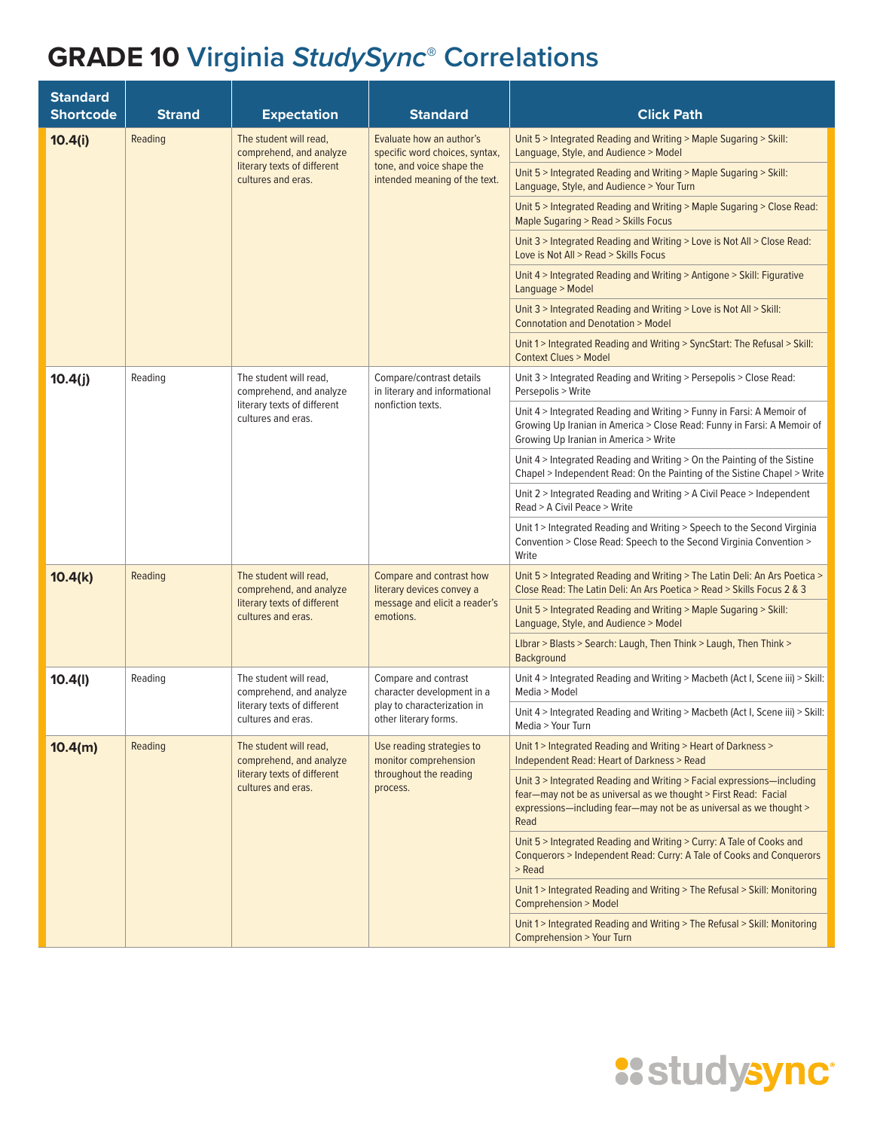| <b>Standard</b><br><b>Shortcode</b> | <b>Strand</b> | <b>Expectation</b>                                                                                     | <b>Standard</b>                                                                                     | <b>Click Path</b>                                                                                                                                                                                                       |
|-------------------------------------|---------------|--------------------------------------------------------------------------------------------------------|-----------------------------------------------------------------------------------------------------|-------------------------------------------------------------------------------------------------------------------------------------------------------------------------------------------------------------------------|
| 10.4(i)                             | Reading       | The student will read,<br>comprehend, and analyze                                                      | Evaluate how an author's<br>specific word choices, syntax,                                          | Unit 5 > Integrated Reading and Writing > Maple Sugaring > Skill:<br>Language, Style, and Audience > Model                                                                                                              |
|                                     |               | literary texts of different<br>cultures and eras.                                                      | tone, and voice shape the<br>intended meaning of the text.                                          | Unit 5 > Integrated Reading and Writing > Maple Sugaring > Skill:<br>Language, Style, and Audience > Your Turn                                                                                                          |
|                                     |               |                                                                                                        |                                                                                                     | Unit 5 > Integrated Reading and Writing > Maple Sugaring > Close Read:<br>Maple Sugaring > Read > Skills Focus                                                                                                          |
|                                     |               |                                                                                                        |                                                                                                     | Unit 3 > Integrated Reading and Writing > Love is Not All > Close Read:<br>Love is Not All > Read > Skills Focus                                                                                                        |
|                                     |               |                                                                                                        |                                                                                                     | Unit 4 > Integrated Reading and Writing > Antigone > Skill: Figurative<br>Language > Model                                                                                                                              |
|                                     |               |                                                                                                        |                                                                                                     | Unit 3 > Integrated Reading and Writing > Love is Not All > Skill:<br><b>Connotation and Denotation &gt; Model</b>                                                                                                      |
|                                     |               |                                                                                                        |                                                                                                     | Unit 1 > Integrated Reading and Writing > SyncStart: The Refusal > Skill:<br><b>Context Clues &gt; Model</b>                                                                                                            |
| 10.4(j)                             | Reading       | The student will read,<br>comprehend, and analyze                                                      | Compare/contrast details<br>in literary and informational                                           | Unit 3 > Integrated Reading and Writing > Persepolis > Close Read:<br>Persepolis > Write                                                                                                                                |
|                                     |               | literary texts of different<br>cultures and eras.                                                      | nonfiction texts.                                                                                   | Unit 4 > Integrated Reading and Writing > Funny in Farsi: A Memoir of<br>Growing Up Iranian in America > Close Read: Funny in Farsi: A Memoir of<br>Growing Up Iranian in America > Write                               |
|                                     |               |                                                                                                        |                                                                                                     | Unit 4 > Integrated Reading and Writing > On the Painting of the Sistine<br>Chapel > Independent Read: On the Painting of the Sistine Chapel > Write                                                                    |
|                                     |               |                                                                                                        |                                                                                                     | Unit 2 > Integrated Reading and Writing > A Civil Peace > Independent<br>Read > A Civil Peace > Write                                                                                                                   |
|                                     |               |                                                                                                        |                                                                                                     | Unit 1 > Integrated Reading and Writing > Speech to the Second Virginia<br>Convention > Close Read: Speech to the Second Virginia Convention ><br>Write                                                                 |
| 10.4(k)                             | Reading       | The student will read,<br>comprehend, and analyze<br>literary texts of different<br>cultures and eras. | Compare and contrast how<br>literary devices convey a<br>message and elicit a reader's<br>emotions. | Unit 5 > Integrated Reading and Writing > The Latin Deli: An Ars Poetica ><br>Close Read: The Latin Deli: An Ars Poetica > Read > Skills Focus 2 & 3                                                                    |
|                                     |               |                                                                                                        |                                                                                                     | Unit 5 > Integrated Reading and Writing > Maple Sugaring > Skill:<br>Language, Style, and Audience > Model                                                                                                              |
|                                     |               |                                                                                                        |                                                                                                     | LIbrar > Blasts > Search: Laugh, Then Think > Laugh, Then Think ><br>Background                                                                                                                                         |
| 10.4(l)                             | Reading       | The student will read,<br>comprehend, and analyze                                                      | Compare and contrast<br>character development in a                                                  | Unit 4 > Integrated Reading and Writing > Macbeth (Act I, Scene iii) > Skill:<br>Media > Model                                                                                                                          |
|                                     |               | literary texts of different<br>cultures and eras.                                                      | play to characterization in<br>other literary forms.                                                | Unit 4 > Integrated Reading and Writing > Macbeth (Act I, Scene iii) > Skill:<br>Media > Your Turn                                                                                                                      |
| 10.4(m)                             | Reading       | The student will read,<br>comprehend, and analyze                                                      | Use reading strategies to<br>monitor comprehension                                                  | Unit 1 > Integrated Reading and Writing > Heart of Darkness ><br><b>Independent Read: Heart of Darkness &gt; Read</b>                                                                                                   |
|                                     |               | literary texts of different<br>cultures and eras.                                                      | throughout the reading<br>process.                                                                  | Unit 3 > Integrated Reading and Writing > Facial expressions-including<br>fear-may not be as universal as we thought > First Read: Facial<br>expressions-including fear-may not be as universal as we thought ><br>Read |
|                                     |               |                                                                                                        |                                                                                                     | Unit 5 > Integrated Reading and Writing > Curry: A Tale of Cooks and<br>Conquerors > Independent Read: Curry: A Tale of Cooks and Conquerors<br>> Read                                                                  |
|                                     |               |                                                                                                        |                                                                                                     | Unit 1 > Integrated Reading and Writing > The Refusal > Skill: Monitoring<br><b>Comprehension &gt; Model</b>                                                                                                            |
|                                     |               |                                                                                                        |                                                                                                     | Unit 1 > Integrated Reading and Writing > The Refusal > Skill: Monitoring<br>Comprehension > Your Turn                                                                                                                  |

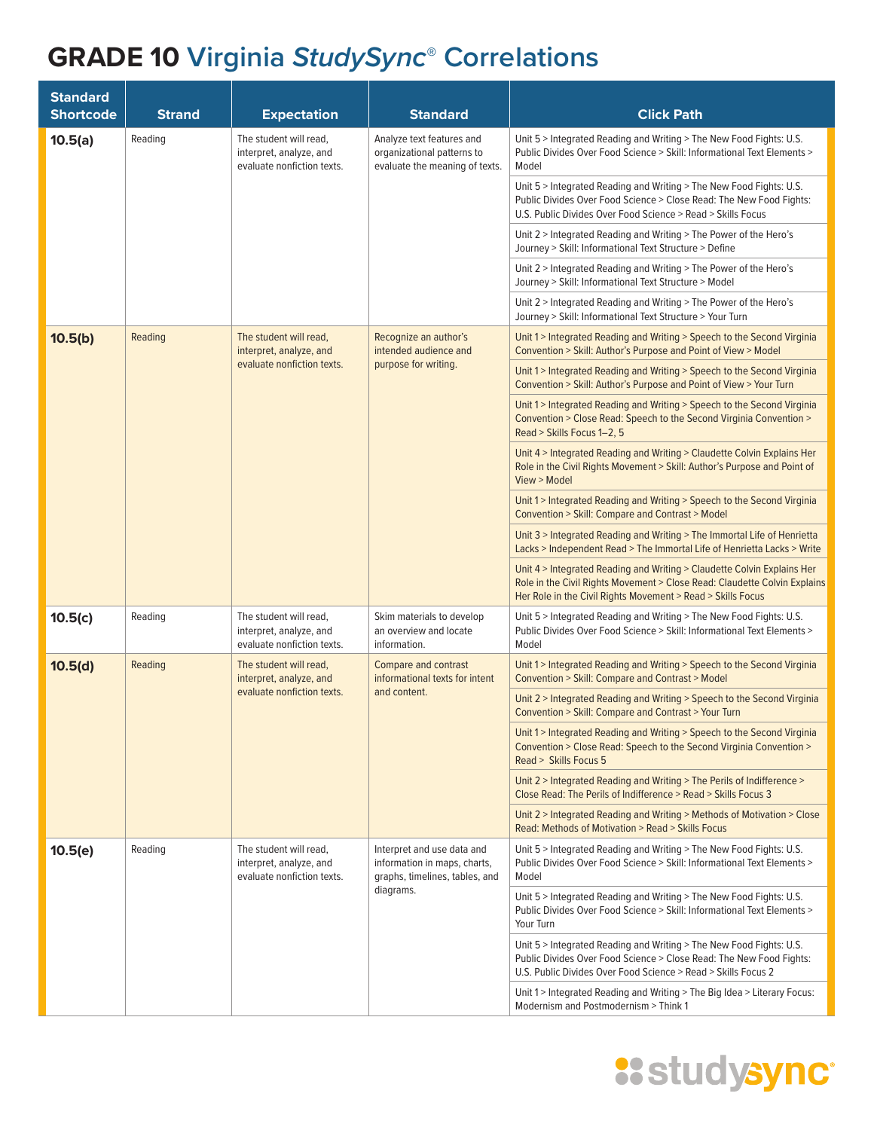| <b>Standard</b><br><b>Shortcode</b> | <b>Strand</b>                                                                                                                                                                           | <b>Expectation</b>                                                                                                                                      | <b>Standard</b>                                                                              | <b>Click Path</b>                                                                                                                                                                                                   |
|-------------------------------------|-----------------------------------------------------------------------------------------------------------------------------------------------------------------------------------------|---------------------------------------------------------------------------------------------------------------------------------------------------------|----------------------------------------------------------------------------------------------|---------------------------------------------------------------------------------------------------------------------------------------------------------------------------------------------------------------------|
| 10.5(a)                             | Reading<br>The student will read,<br>Analyze text features and<br>interpret, analyze, and<br>organizational patterns to<br>evaluate nonfiction texts.<br>evaluate the meaning of texts. | Unit 5 > Integrated Reading and Writing > The New Food Fights: U.S.<br>Public Divides Over Food Science > Skill: Informational Text Elements ><br>Model |                                                                                              |                                                                                                                                                                                                                     |
|                                     |                                                                                                                                                                                         |                                                                                                                                                         |                                                                                              | Unit 5 > Integrated Reading and Writing > The New Food Fights: U.S.<br>Public Divides Over Food Science > Close Read: The New Food Fights:<br>U.S. Public Divides Over Food Science > Read > Skills Focus           |
|                                     |                                                                                                                                                                                         |                                                                                                                                                         |                                                                                              | Unit 2 > Integrated Reading and Writing > The Power of the Hero's<br>Journey > Skill: Informational Text Structure > Define                                                                                         |
|                                     |                                                                                                                                                                                         |                                                                                                                                                         |                                                                                              | Unit 2 > Integrated Reading and Writing > The Power of the Hero's<br>Journey > Skill: Informational Text Structure > Model                                                                                          |
|                                     |                                                                                                                                                                                         |                                                                                                                                                         |                                                                                              | Unit 2 > Integrated Reading and Writing > The Power of the Hero's<br>Journey > Skill: Informational Text Structure > Your Turn                                                                                      |
| 10.5(b)                             | Reading                                                                                                                                                                                 | The student will read,<br>interpret, analyze, and                                                                                                       | Recognize an author's<br>intended audience and                                               | Unit 1 > Integrated Reading and Writing > Speech to the Second Virginia<br>Convention > Skill: Author's Purpose and Point of View > Model                                                                           |
|                                     |                                                                                                                                                                                         | evaluate nonfiction texts.                                                                                                                              | purpose for writing.                                                                         | Unit 1 > Integrated Reading and Writing > Speech to the Second Virginia<br>Convention > Skill: Author's Purpose and Point of View > Your Turn                                                                       |
|                                     |                                                                                                                                                                                         |                                                                                                                                                         |                                                                                              | Unit 1 > Integrated Reading and Writing > Speech to the Second Virginia<br>Convention > Close Read: Speech to the Second Virginia Convention ><br>Read > Skills Focus 1-2, 5                                        |
|                                     |                                                                                                                                                                                         |                                                                                                                                                         |                                                                                              | Unit 4 > Integrated Reading and Writing > Claudette Colvin Explains Her<br>Role in the Civil Rights Movement > Skill: Author's Purpose and Point of<br>View > Model                                                 |
|                                     |                                                                                                                                                                                         |                                                                                                                                                         |                                                                                              | Unit 1 > Integrated Reading and Writing > Speech to the Second Virginia<br>Convention > Skill: Compare and Contrast > Model                                                                                         |
|                                     |                                                                                                                                                                                         |                                                                                                                                                         |                                                                                              | Unit 3 > Integrated Reading and Writing > The Immortal Life of Henrietta<br>Lacks > Independent Read > The Immortal Life of Henrietta Lacks > Write                                                                 |
|                                     |                                                                                                                                                                                         |                                                                                                                                                         |                                                                                              | Unit 4 > Integrated Reading and Writing > Claudette Colvin Explains Her<br>Role in the Civil Rights Movement > Close Read: Claudette Colvin Explains<br>Her Role in the Civil Rights Movement > Read > Skills Focus |
| 10.5(c)                             | Reading                                                                                                                                                                                 | The student will read,<br>interpret, analyze, and<br>evaluate nonfiction texts.                                                                         | Skim materials to develop<br>an overview and locate<br>information.                          | Unit 5 > Integrated Reading and Writing > The New Food Fights: U.S.<br>Public Divides Over Food Science > Skill: Informational Text Elements ><br>Model                                                             |
| 10.5(d)                             | Reading                                                                                                                                                                                 | The student will read,<br>interpret, analyze, and                                                                                                       | Compare and contrast<br>informational texts for intent                                       | Unit 1 > Integrated Reading and Writing > Speech to the Second Virginia<br>Convention > Skill: Compare and Contrast > Model                                                                                         |
|                                     |                                                                                                                                                                                         | evaluate nonfiction texts.                                                                                                                              | and content.                                                                                 | Unit 2 > Integrated Reading and Writing > Speech to the Second Virginia<br>Convention > Skill: Compare and Contrast > Your Turn                                                                                     |
|                                     |                                                                                                                                                                                         |                                                                                                                                                         |                                                                                              | Unit 1 > Integrated Reading and Writing > Speech to the Second Virginia<br>Convention > Close Read: Speech to the Second Virginia Convention ><br>Read > Skills Focus 5                                             |
|                                     |                                                                                                                                                                                         |                                                                                                                                                         |                                                                                              | Unit 2 > Integrated Reading and Writing > The Perils of Indifference ><br>Close Read: The Perils of Indifference > Read > Skills Focus 3                                                                            |
|                                     |                                                                                                                                                                                         |                                                                                                                                                         |                                                                                              | Unit 2 > Integrated Reading and Writing > Methods of Motivation > Close<br>Read: Methods of Motivation > Read > Skills Focus                                                                                        |
| 10.5(e)                             | Reading                                                                                                                                                                                 | The student will read,<br>interpret, analyze, and<br>evaluate nonfiction texts.                                                                         | Interpret and use data and<br>information in maps, charts,<br>graphs, timelines, tables, and | Unit 5 > Integrated Reading and Writing > The New Food Fights: U.S.<br>Public Divides Over Food Science > Skill: Informational Text Elements ><br>Model                                                             |
|                                     |                                                                                                                                                                                         |                                                                                                                                                         | diagrams.                                                                                    | Unit 5 > Integrated Reading and Writing > The New Food Fights: U.S.<br>Public Divides Over Food Science > Skill: Informational Text Elements ><br>Your Turn                                                         |
|                                     |                                                                                                                                                                                         |                                                                                                                                                         |                                                                                              | Unit 5 > Integrated Reading and Writing > The New Food Fights: U.S.<br>Public Divides Over Food Science > Close Read: The New Food Fights:<br>U.S. Public Divides Over Food Science > Read > Skills Focus 2         |
|                                     |                                                                                                                                                                                         |                                                                                                                                                         |                                                                                              | Unit 1 > Integrated Reading and Writing > The Big Idea > Literary Focus:<br>Modernism and Postmodernism > Think 1                                                                                                   |

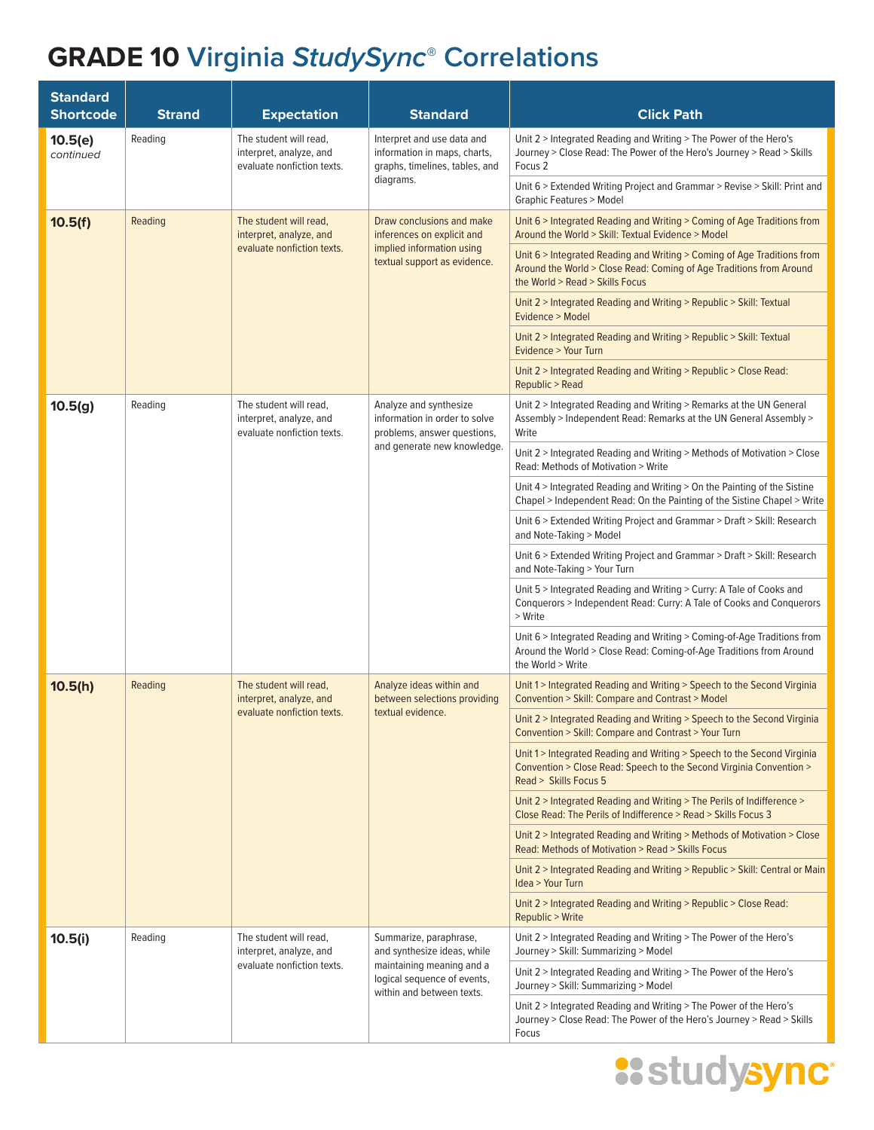| <b>Standard</b><br><b>Shortcode</b> | <b>Strand</b>                                                                                                                                                                              | <b>Expectation</b>                                                              | <b>Standard</b>                                                                                                                                                  | <b>Click Path</b>                                                                                                                                                                 |
|-------------------------------------|--------------------------------------------------------------------------------------------------------------------------------------------------------------------------------------------|---------------------------------------------------------------------------------|------------------------------------------------------------------------------------------------------------------------------------------------------------------|-----------------------------------------------------------------------------------------------------------------------------------------------------------------------------------|
| 10.5(e)<br>continued                | Reading<br>The student will read,<br>Interpret and use data and<br>interpret, analyze, and<br>information in maps, charts,<br>evaluate nonfiction texts.<br>graphs, timelines, tables, and |                                                                                 | Unit 2 > Integrated Reading and Writing > The Power of the Hero's<br>Journey > Close Read: The Power of the Hero's Journey > Read > Skills<br>Focus <sub>2</sub> |                                                                                                                                                                                   |
|                                     |                                                                                                                                                                                            |                                                                                 | diagrams.                                                                                                                                                        | Unit 6 > Extended Writing Project and Grammar > Revise > Skill: Print and<br><b>Graphic Features &gt; Model</b>                                                                   |
| 10.5(f)                             | Reading                                                                                                                                                                                    | The student will read,<br>interpret, analyze, and                               | Draw conclusions and make<br>inferences on explicit and                                                                                                          | Unit 6 > Integrated Reading and Writing > Coming of Age Traditions from<br>Around the World > Skill: Textual Evidence > Model                                                     |
|                                     |                                                                                                                                                                                            | evaluate nonfiction texts.                                                      | implied information using<br>textual support as evidence.                                                                                                        | Unit 6 > Integrated Reading and Writing > Coming of Age Traditions from<br>Around the World > Close Read: Coming of Age Traditions from Around<br>the World > Read > Skills Focus |
|                                     |                                                                                                                                                                                            |                                                                                 |                                                                                                                                                                  | Unit 2 > Integrated Reading and Writing > Republic > Skill: Textual<br>Evidence > Model                                                                                           |
|                                     |                                                                                                                                                                                            |                                                                                 |                                                                                                                                                                  | Unit 2 > Integrated Reading and Writing > Republic > Skill: Textual<br>Evidence > Your Turn                                                                                       |
|                                     |                                                                                                                                                                                            |                                                                                 |                                                                                                                                                                  | Unit 2 > Integrated Reading and Writing > Republic > Close Read:<br>Republic > Read                                                                                               |
| 10.5(g)                             | Reading                                                                                                                                                                                    | The student will read,<br>interpret, analyze, and<br>evaluate nonfiction texts. | Analyze and synthesize<br>information in order to solve<br>problems, answer questions,                                                                           | Unit 2 > Integrated Reading and Writing > Remarks at the UN General<br>Assembly > Independent Read: Remarks at the UN General Assembly ><br>Write                                 |
|                                     |                                                                                                                                                                                            |                                                                                 | and generate new knowledge.                                                                                                                                      | Unit 2 > Integrated Reading and Writing > Methods of Motivation > Close<br>Read: Methods of Motivation > Write                                                                    |
|                                     |                                                                                                                                                                                            |                                                                                 |                                                                                                                                                                  | Unit 4 > Integrated Reading and Writing > On the Painting of the Sistine<br>Chapel > Independent Read: On the Painting of the Sistine Chapel > Write                              |
|                                     |                                                                                                                                                                                            |                                                                                 |                                                                                                                                                                  | Unit 6 > Extended Writing Project and Grammar > Draft > Skill: Research<br>and Note-Taking > Model                                                                                |
|                                     |                                                                                                                                                                                            |                                                                                 |                                                                                                                                                                  | Unit 6 > Extended Writing Project and Grammar > Draft > Skill: Research<br>and Note-Taking > Your Turn                                                                            |
|                                     |                                                                                                                                                                                            |                                                                                 |                                                                                                                                                                  | Unit 5 > Integrated Reading and Writing > Curry: A Tale of Cooks and<br>Conquerors > Independent Read: Curry: A Tale of Cooks and Conquerors<br>> Write                           |
|                                     |                                                                                                                                                                                            |                                                                                 |                                                                                                                                                                  | Unit 6 > Integrated Reading and Writing > Coming-of-Age Traditions from<br>Around the World > Close Read: Coming-of-Age Traditions from Around<br>the World > Write               |
| 10.5(h)                             | Reading                                                                                                                                                                                    | The student will read,<br>interpret, analyze, and                               | Analyze ideas within and<br>between selections providing<br>textual evidence.                                                                                    | Unit 1>Integrated Reading and Writing > Speech to the Second Virginia<br>Convention > Skill: Compare and Contrast > Model                                                         |
|                                     |                                                                                                                                                                                            | evaluate nonfiction texts.                                                      |                                                                                                                                                                  | Unit 2 > Integrated Reading and Writing > Speech to the Second Virginia<br>Convention > Skill: Compare and Contrast > Your Turn                                                   |
|                                     |                                                                                                                                                                                            |                                                                                 |                                                                                                                                                                  | Unit 1 > Integrated Reading and Writing > Speech to the Second Virginia<br>Convention > Close Read: Speech to the Second Virginia Convention ><br>Read > Skills Focus 5           |
|                                     |                                                                                                                                                                                            |                                                                                 |                                                                                                                                                                  | Unit 2 > Integrated Reading and Writing > The Perils of Indifference ><br>Close Read: The Perils of Indifference > Read > Skills Focus 3                                          |
|                                     |                                                                                                                                                                                            |                                                                                 |                                                                                                                                                                  | Unit 2 > Integrated Reading and Writing > Methods of Motivation > Close<br>Read: Methods of Motivation > Read > Skills Focus                                                      |
|                                     |                                                                                                                                                                                            |                                                                                 |                                                                                                                                                                  | Unit 2 > Integrated Reading and Writing > Republic > Skill: Central or Main<br>Idea > Your Turn                                                                                   |
|                                     |                                                                                                                                                                                            |                                                                                 |                                                                                                                                                                  | Unit 2 > Integrated Reading and Writing > Republic > Close Read:<br>Republic > Write                                                                                              |
| 10.5(i)                             | Reading                                                                                                                                                                                    | The student will read,<br>interpret, analyze, and                               | Summarize, paraphrase,<br>and synthesize ideas, while                                                                                                            | Unit 2 > Integrated Reading and Writing > The Power of the Hero's<br>Journey > Skill: Summarizing > Model                                                                         |
|                                     |                                                                                                                                                                                            | evaluate nonfiction texts.                                                      | maintaining meaning and a<br>logical sequence of events,<br>within and between texts.                                                                            | Unit 2 > Integrated Reading and Writing > The Power of the Hero's<br>Journey > Skill: Summarizing > Model                                                                         |
|                                     |                                                                                                                                                                                            |                                                                                 |                                                                                                                                                                  | Unit 2 > Integrated Reading and Writing > The Power of the Hero's<br>Journey > Close Read: The Power of the Hero's Journey > Read > Skills<br>Focus                               |

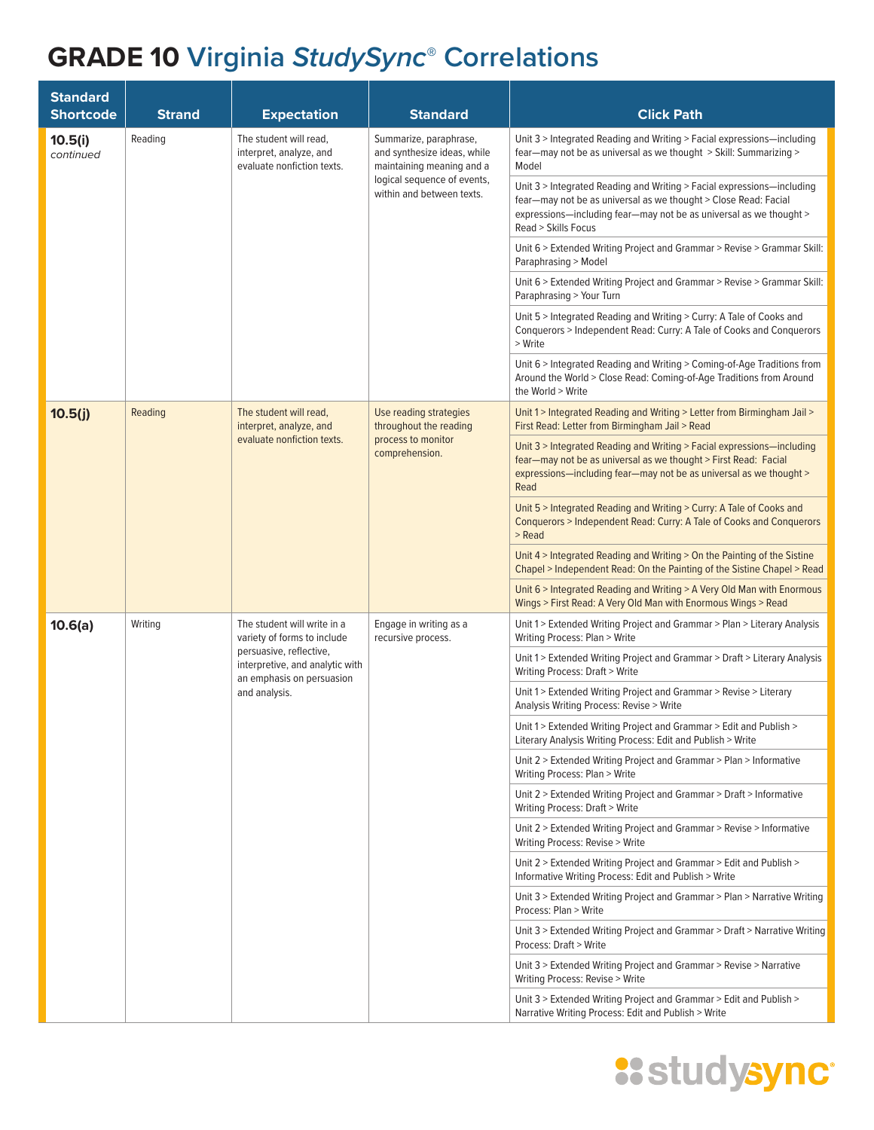| <b>Standard</b><br><b>Shortcode</b> | <b>Strand</b> | <b>Expectation</b>                                                                                                                                                     | <b>Standard</b>                                                                                                                                                                                                                        | <b>Click Path</b>                                                                                                                                                                                                       |
|-------------------------------------|---------------|------------------------------------------------------------------------------------------------------------------------------------------------------------------------|----------------------------------------------------------------------------------------------------------------------------------------------------------------------------------------------------------------------------------------|-------------------------------------------------------------------------------------------------------------------------------------------------------------------------------------------------------------------------|
| 10.5(i)<br>continued                | Reading       | The student will read,<br>interpret, analyze, and<br>evaluate nonfiction texts.                                                                                        | Summarize, paraphrase,<br>and synthesize ideas, while<br>maintaining meaning and a                                                                                                                                                     | Unit 3 > Integrated Reading and Writing > Facial expressions-including<br>fear-may not be as universal as we thought > Skill: Summarizing ><br>Model                                                                    |
|                                     |               | logical sequence of events,<br>within and between texts.                                                                                                               | Unit 3 > Integrated Reading and Writing > Facial expressions-including<br>fear—may not be as universal as we thought > Close Read: Facial<br>expressions-including fear-may not be as universal as we thought ><br>Read > Skills Focus |                                                                                                                                                                                                                         |
|                                     |               |                                                                                                                                                                        |                                                                                                                                                                                                                                        | Unit 6 > Extended Writing Project and Grammar > Revise > Grammar Skill:<br>Paraphrasing > Model                                                                                                                         |
|                                     |               |                                                                                                                                                                        |                                                                                                                                                                                                                                        | Unit 6 > Extended Writing Project and Grammar > Revise > Grammar Skill:<br>Paraphrasing > Your Turn                                                                                                                     |
|                                     |               |                                                                                                                                                                        |                                                                                                                                                                                                                                        | Unit 5 > Integrated Reading and Writing > Curry: A Tale of Cooks and<br>Conquerors > Independent Read: Curry: A Tale of Cooks and Conquerors<br>> Write                                                                 |
|                                     |               |                                                                                                                                                                        |                                                                                                                                                                                                                                        | Unit 6 > Integrated Reading and Writing > Coming-of-Age Traditions from<br>Around the World > Close Read: Coming-of-Age Traditions from Around<br>the World > Write                                                     |
| 10.5(j)                             | Reading       | The student will read,<br>interpret, analyze, and                                                                                                                      | Use reading strategies<br>throughout the reading                                                                                                                                                                                       | Unit 1 > Integrated Reading and Writing > Letter from Birmingham Jail ><br>First Read: Letter from Birmingham Jail > Read                                                                                               |
|                                     |               | evaluate nonfiction texts.                                                                                                                                             | process to monitor<br>comprehension.                                                                                                                                                                                                   | Unit 3 > Integrated Reading and Writing > Facial expressions-including<br>fear-may not be as universal as we thought > First Read: Facial<br>expressions-including fear-may not be as universal as we thought ><br>Read |
|                                     |               |                                                                                                                                                                        |                                                                                                                                                                                                                                        | Unit 5 > Integrated Reading and Writing > Curry: A Tale of Cooks and<br>Conquerors > Independent Read: Curry: A Tale of Cooks and Conquerors<br>> Read                                                                  |
|                                     |               |                                                                                                                                                                        |                                                                                                                                                                                                                                        | Unit 4 > Integrated Reading and Writing > On the Painting of the Sistine<br>Chapel > Independent Read: On the Painting of the Sistine Chapel > Read                                                                     |
|                                     |               |                                                                                                                                                                        |                                                                                                                                                                                                                                        | Unit 6 > Integrated Reading and Writing > A Very Old Man with Enormous<br>Wings > First Read: A Very Old Man with Enormous Wings > Read                                                                                 |
| 10.6(a)                             | Writing       | The student will write in a<br>variety of forms to include<br>persuasive, reflective,<br>interpretive, and analytic with<br>an emphasis on persuasion<br>and analysis. | Engage in writing as a<br>recursive process.                                                                                                                                                                                           | Unit 1 > Extended Writing Project and Grammar > Plan > Literary Analysis<br>Writing Process: Plan > Write                                                                                                               |
|                                     |               |                                                                                                                                                                        |                                                                                                                                                                                                                                        | Unit 1 > Extended Writing Project and Grammar > Draft > Literary Analysis<br>Writing Process: Draft > Write                                                                                                             |
|                                     |               |                                                                                                                                                                        |                                                                                                                                                                                                                                        | Unit 1> Extended Writing Project and Grammar > Revise > Literary<br>Analysis Writing Process: Revise > Write                                                                                                            |
|                                     |               |                                                                                                                                                                        |                                                                                                                                                                                                                                        | Unit 1> Extended Writing Project and Grammar > Edit and Publish ><br>Literary Analysis Writing Process: Edit and Publish > Write                                                                                        |
|                                     |               |                                                                                                                                                                        |                                                                                                                                                                                                                                        | Unit 2 > Extended Writing Project and Grammar > Plan > Informative<br>Writing Process: Plan > Write                                                                                                                     |
|                                     |               |                                                                                                                                                                        |                                                                                                                                                                                                                                        | Unit 2 > Extended Writing Project and Grammar > Draft > Informative<br>Writing Process: Draft > Write                                                                                                                   |
|                                     |               |                                                                                                                                                                        |                                                                                                                                                                                                                                        | Unit 2 > Extended Writing Project and Grammar > Revise > Informative<br>Writing Process: Revise > Write                                                                                                                 |
|                                     |               |                                                                                                                                                                        |                                                                                                                                                                                                                                        | Unit 2 > Extended Writing Project and Grammar > Edit and Publish ><br>Informative Writing Process: Edit and Publish > Write                                                                                             |
|                                     |               |                                                                                                                                                                        |                                                                                                                                                                                                                                        | Unit 3 > Extended Writing Project and Grammar > Plan > Narrative Writing<br>Process: Plan > Write                                                                                                                       |
|                                     |               |                                                                                                                                                                        |                                                                                                                                                                                                                                        | Unit 3 > Extended Writing Project and Grammar > Draft > Narrative Writing<br>Process: Draft > Write                                                                                                                     |
|                                     |               |                                                                                                                                                                        |                                                                                                                                                                                                                                        | Unit 3 > Extended Writing Project and Grammar > Revise > Narrative<br>Writing Process: Revise > Write                                                                                                                   |
|                                     |               |                                                                                                                                                                        |                                                                                                                                                                                                                                        | Unit 3 > Extended Writing Project and Grammar > Edit and Publish ><br>Narrative Writing Process: Edit and Publish > Write                                                                                               |

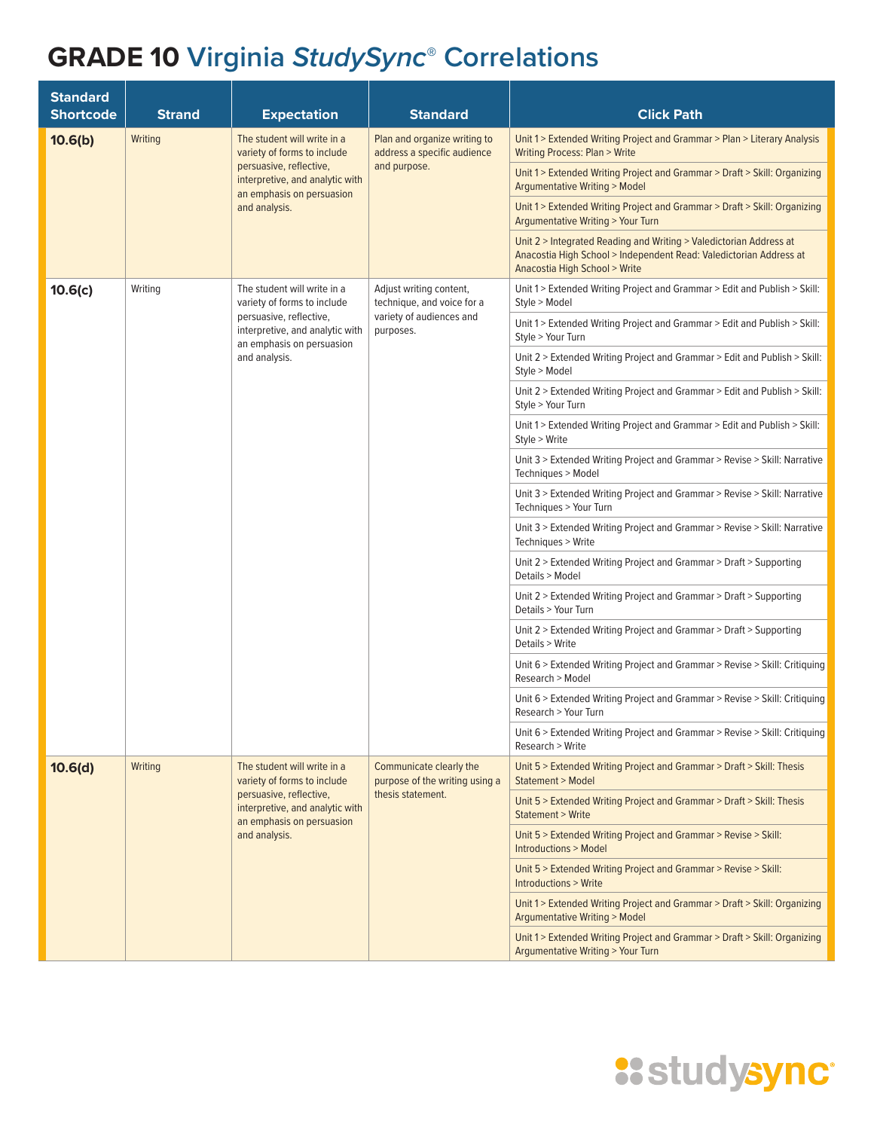| <b>Standard</b><br><b>Shortcode</b> | <b>Strand</b> | <b>Expectation</b>                                                                                                                                                     | <b>Standard</b>                                                                                | <b>Click Path</b>                                                                                                                                                         |
|-------------------------------------|---------------|------------------------------------------------------------------------------------------------------------------------------------------------------------------------|------------------------------------------------------------------------------------------------|---------------------------------------------------------------------------------------------------------------------------------------------------------------------------|
| 10.6(b)                             | Writing       | The student will write in a<br>variety of forms to include<br>persuasive, reflective,<br>interpretive, and analytic with<br>an emphasis on persuasion<br>and analysis. | Plan and organize writing to<br>address a specific audience<br>and purpose.                    | Unit 1> Extended Writing Project and Grammar > Plan > Literary Analysis<br><b>Writing Process: Plan &gt; Write</b>                                                        |
|                                     |               |                                                                                                                                                                        |                                                                                                | Unit 1 > Extended Writing Project and Grammar > Draft > Skill: Organizing<br><b>Argumentative Writing &gt; Model</b>                                                      |
|                                     |               |                                                                                                                                                                        |                                                                                                | Unit 1 > Extended Writing Project and Grammar > Draft > Skill: Organizing<br><b>Argumentative Writing &gt; Your Turn</b>                                                  |
|                                     |               |                                                                                                                                                                        |                                                                                                | Unit 2 > Integrated Reading and Writing > Valedictorian Address at<br>Anacostia High School > Independent Read: Valedictorian Address at<br>Anacostia High School > Write |
| 10.6(c)                             | Writing       | The student will write in a<br>variety of forms to include<br>persuasive, reflective,<br>interpretive, and analytic with<br>an emphasis on persuasion                  | Adjust writing content,<br>technique, and voice for a<br>variety of audiences and<br>purposes. | Unit 1 > Extended Writing Project and Grammar > Edit and Publish > Skill:<br>Style > Model                                                                                |
|                                     |               |                                                                                                                                                                        |                                                                                                | Unit 1 > Extended Writing Project and Grammar > Edit and Publish > Skill:<br>Style > Your Turn                                                                            |
|                                     |               | and analysis.                                                                                                                                                          |                                                                                                | Unit 2 > Extended Writing Project and Grammar > Edit and Publish > Skill:<br>Style > Model                                                                                |
|                                     |               |                                                                                                                                                                        |                                                                                                | Unit 2 > Extended Writing Project and Grammar > Edit and Publish > Skill:<br>Style > Your Turn                                                                            |
|                                     |               |                                                                                                                                                                        |                                                                                                | Unit 1 > Extended Writing Project and Grammar > Edit and Publish > Skill:<br>Style > Write                                                                                |
|                                     |               |                                                                                                                                                                        |                                                                                                | Unit 3 > Extended Writing Project and Grammar > Revise > Skill: Narrative<br>Techniques > Model                                                                           |
|                                     |               |                                                                                                                                                                        |                                                                                                | Unit 3 > Extended Writing Project and Grammar > Revise > Skill: Narrative<br>Techniques > Your Turn                                                                       |
|                                     |               |                                                                                                                                                                        |                                                                                                | Unit 3 > Extended Writing Project and Grammar > Revise > Skill: Narrative<br>Techniques > Write                                                                           |
|                                     |               |                                                                                                                                                                        |                                                                                                | Unit 2 > Extended Writing Project and Grammar > Draft > Supporting<br>Details > Model                                                                                     |
|                                     |               |                                                                                                                                                                        |                                                                                                | Unit 2 > Extended Writing Project and Grammar > Draft > Supporting<br>Details > Your Turn                                                                                 |
|                                     |               |                                                                                                                                                                        |                                                                                                | Unit 2 > Extended Writing Project and Grammar > Draft > Supporting<br>Details > Write                                                                                     |
|                                     |               |                                                                                                                                                                        |                                                                                                | Unit 6 > Extended Writing Project and Grammar > Revise > Skill: Critiquing<br>Research > Model                                                                            |
|                                     |               |                                                                                                                                                                        |                                                                                                | Unit 6 > Extended Writing Project and Grammar > Revise > Skill: Critiquing<br>Research > Your Turn                                                                        |
|                                     |               |                                                                                                                                                                        |                                                                                                | Unit 6 > Extended Writing Project and Grammar > Revise > Skill: Critiquing<br>Research > Write                                                                            |
| 10.6(d)                             | Writing       | The student will write in a<br>variety of forms to include                                                                                                             | Communicate clearly the<br>purpose of the writing using a<br>thesis statement.                 | Unit 5 > Extended Writing Project and Grammar > Draft > Skill: Thesis<br>Statement > Model                                                                                |
|                                     |               | persuasive, reflective,<br>interpretive, and analytic with<br>an emphasis on persuasion<br>and analysis.                                                               |                                                                                                | Unit 5 > Extended Writing Project and Grammar > Draft > Skill: Thesis<br><b>Statement &gt; Write</b>                                                                      |
|                                     |               |                                                                                                                                                                        |                                                                                                | Unit 5 > Extended Writing Project and Grammar > Revise > Skill:<br><b>Introductions &gt; Model</b>                                                                        |
|                                     |               |                                                                                                                                                                        |                                                                                                | Unit 5 > Extended Writing Project and Grammar > Revise > Skill:<br><b>Introductions &gt; Write</b>                                                                        |
|                                     |               |                                                                                                                                                                        |                                                                                                | Unit 1> Extended Writing Project and Grammar > Draft > Skill: Organizing<br>Argumentative Writing > Model                                                                 |
|                                     |               |                                                                                                                                                                        |                                                                                                | Unit 1 > Extended Writing Project and Grammar > Draft > Skill: Organizing<br><b>Argumentative Writing &gt; Your Turn</b>                                                  |

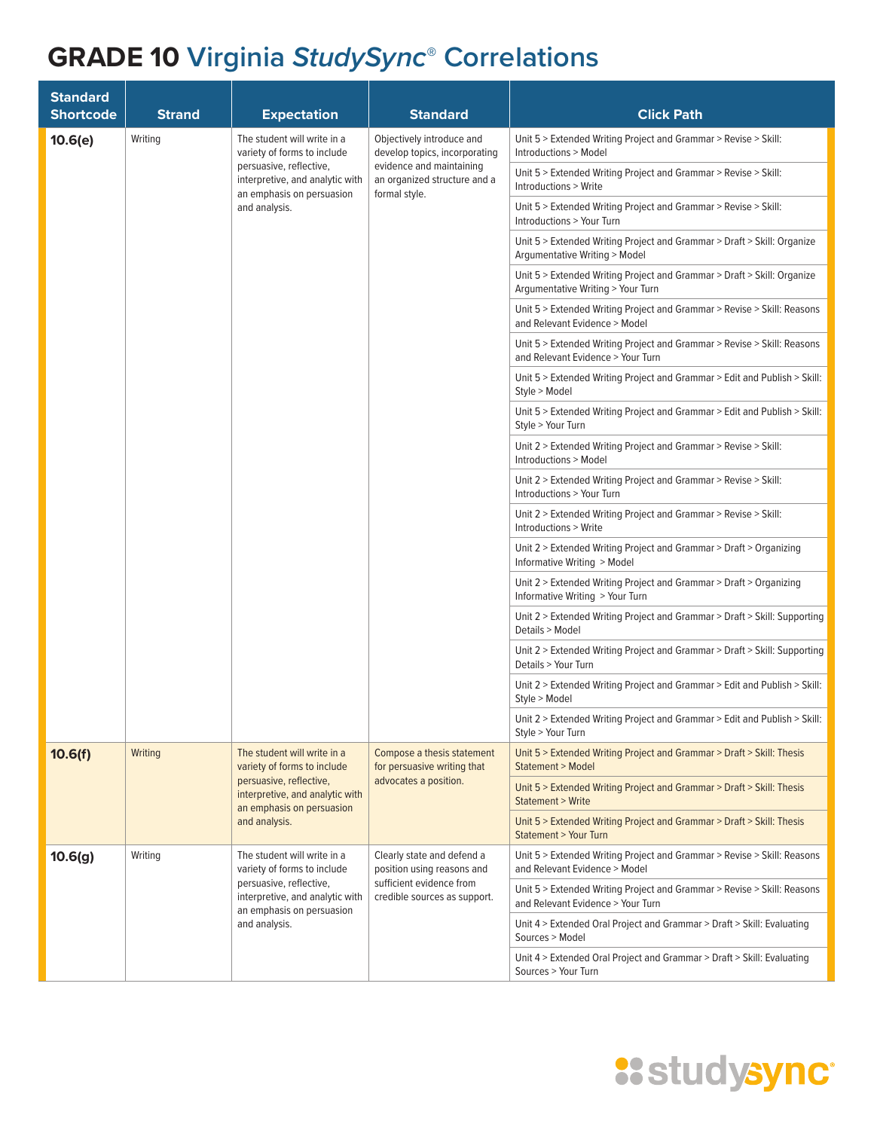| <b>Standard</b><br><b>Shortcode</b> | <b>Strand</b> | <b>Expectation</b>                                                                                                                                                     | <b>Standard</b>                                                                                                                         | <b>Click Path</b>                                                                                            |
|-------------------------------------|---------------|------------------------------------------------------------------------------------------------------------------------------------------------------------------------|-----------------------------------------------------------------------------------------------------------------------------------------|--------------------------------------------------------------------------------------------------------------|
| 10.6(e)                             | Writing       | The student will write in a<br>variety of forms to include<br>persuasive, reflective,<br>interpretive, and analytic with<br>an emphasis on persuasion<br>and analysis. | Objectively introduce and<br>develop topics, incorporating<br>evidence and maintaining<br>an organized structure and a<br>formal style. | Unit 5 > Extended Writing Project and Grammar > Revise > Skill:<br>Introductions > Model                     |
|                                     |               |                                                                                                                                                                        |                                                                                                                                         | Unit 5 > Extended Writing Project and Grammar > Revise > Skill:<br>Introductions > Write                     |
|                                     |               |                                                                                                                                                                        |                                                                                                                                         | Unit 5 > Extended Writing Project and Grammar > Revise > Skill:<br>Introductions > Your Turn                 |
|                                     |               |                                                                                                                                                                        |                                                                                                                                         | Unit 5 > Extended Writing Project and Grammar > Draft > Skill: Organize<br>Argumentative Writing > Model     |
|                                     |               |                                                                                                                                                                        |                                                                                                                                         | Unit 5 > Extended Writing Project and Grammar > Draft > Skill: Organize<br>Argumentative Writing > Your Turn |
|                                     |               |                                                                                                                                                                        |                                                                                                                                         | Unit 5 > Extended Writing Project and Grammar > Revise > Skill: Reasons<br>and Relevant Evidence > Model     |
|                                     |               |                                                                                                                                                                        |                                                                                                                                         | Unit 5 > Extended Writing Project and Grammar > Revise > Skill: Reasons<br>and Relevant Evidence > Your Turn |
|                                     |               |                                                                                                                                                                        |                                                                                                                                         | Unit 5 > Extended Writing Project and Grammar > Edit and Publish > Skill:<br>Style > Model                   |
|                                     |               |                                                                                                                                                                        |                                                                                                                                         | Unit 5 > Extended Writing Project and Grammar > Edit and Publish > Skill:<br>Style > Your Turn               |
|                                     |               |                                                                                                                                                                        |                                                                                                                                         | Unit 2 > Extended Writing Project and Grammar > Revise > Skill:<br>Introductions > Model                     |
|                                     |               |                                                                                                                                                                        |                                                                                                                                         | Unit 2 > Extended Writing Project and Grammar > Revise > Skill:<br>Introductions > Your Turn                 |
|                                     |               |                                                                                                                                                                        |                                                                                                                                         | Unit 2 > Extended Writing Project and Grammar > Revise > Skill:<br>Introductions > Write                     |
|                                     |               |                                                                                                                                                                        |                                                                                                                                         | Unit 2 > Extended Writing Project and Grammar > Draft > Organizing<br>Informative Writing > Model            |
|                                     |               |                                                                                                                                                                        |                                                                                                                                         | Unit 2 > Extended Writing Project and Grammar > Draft > Organizing<br>Informative Writing > Your Turn        |
|                                     |               |                                                                                                                                                                        |                                                                                                                                         | Unit 2 > Extended Writing Project and Grammar > Draft > Skill: Supporting<br>Details > Model                 |
|                                     |               |                                                                                                                                                                        |                                                                                                                                         | Unit 2 > Extended Writing Project and Grammar > Draft > Skill: Supporting<br>Details > Your Turn             |
|                                     |               |                                                                                                                                                                        |                                                                                                                                         | Unit 2 > Extended Writing Project and Grammar > Edit and Publish > Skill:<br>Style > Model                   |
|                                     |               |                                                                                                                                                                        |                                                                                                                                         | Unit 2 > Extended Writing Project and Grammar > Edit and Publish > Skill:<br>Style > Your Turn               |
| 10.6(f)                             | Writing       | The student will write in a<br>variety of forms to include<br>persuasive, reflective,<br>interpretive, and analytic with<br>an emphasis on persuasion<br>and analysis. | Compose a thesis statement<br>for persuasive writing that<br>advocates a position.                                                      | Unit 5 > Extended Writing Project and Grammar > Draft > Skill: Thesis<br>Statement > Model                   |
|                                     |               |                                                                                                                                                                        |                                                                                                                                         | Unit 5 > Extended Writing Project and Grammar > Draft > Skill: Thesis<br><b>Statement &gt; Write</b>         |
|                                     |               |                                                                                                                                                                        |                                                                                                                                         | Unit 5 > Extended Writing Project and Grammar > Draft > Skill: Thesis<br><b>Statement &gt; Your Turn</b>     |
| 10.6(g)                             | Writing       | The student will write in a<br>variety of forms to include<br>persuasive, reflective,<br>interpretive, and analytic with<br>an emphasis on persuasion<br>and analysis. | Clearly state and defend a<br>position using reasons and<br>sufficient evidence from<br>credible sources as support.                    | Unit 5 > Extended Writing Project and Grammar > Revise > Skill: Reasons<br>and Relevant Evidence > Model     |
|                                     |               |                                                                                                                                                                        |                                                                                                                                         | Unit 5 > Extended Writing Project and Grammar > Revise > Skill: Reasons<br>and Relevant Evidence > Your Turn |
|                                     |               |                                                                                                                                                                        |                                                                                                                                         | Unit 4 > Extended Oral Project and Grammar > Draft > Skill: Evaluating<br>Sources > Model                    |
|                                     |               |                                                                                                                                                                        |                                                                                                                                         | Unit 4 > Extended Oral Project and Grammar > Draft > Skill: Evaluating<br>Sources > Your Turn                |

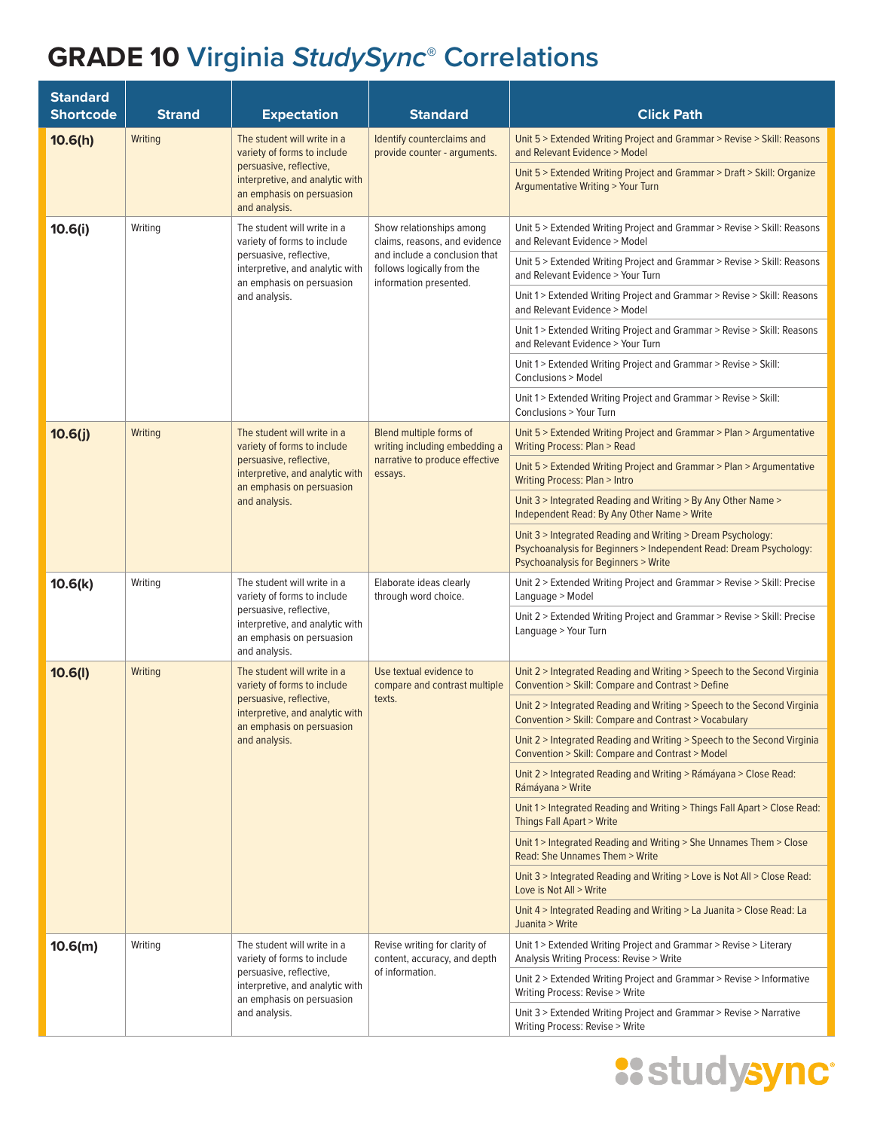| <b>Standard</b><br><b>Shortcode</b> | <b>Strand</b>                                                                                                                                                                     | <b>Expectation</b>                                                                                                                                                     | <b>Standard</b>                                                                                                                                    | <b>Click Path</b>                                                                                                                                                         |
|-------------------------------------|-----------------------------------------------------------------------------------------------------------------------------------------------------------------------------------|------------------------------------------------------------------------------------------------------------------------------------------------------------------------|----------------------------------------------------------------------------------------------------------------------------------------------------|---------------------------------------------------------------------------------------------------------------------------------------------------------------------------|
| 10.6(h)                             | Writing                                                                                                                                                                           | The student will write in a<br>variety of forms to include                                                                                                             | Identify counterclaims and<br>provide counter - arguments.                                                                                         | Unit 5 > Extended Writing Project and Grammar > Revise > Skill: Reasons<br>and Relevant Evidence > Model                                                                  |
|                                     | persuasive, reflective,<br>interpretive, and analytic with<br>an emphasis on persuasion<br>and analysis.                                                                          |                                                                                                                                                                        | Unit 5 > Extended Writing Project and Grammar > Draft > Skill: Organize<br><b>Argumentative Writing &gt; Your Turn</b>                             |                                                                                                                                                                           |
| 10.6(i)                             | Writing                                                                                                                                                                           | The student will write in a<br>variety of forms to include<br>persuasive, reflective,<br>interpretive, and analytic with<br>an emphasis on persuasion<br>and analysis. | Show relationships among<br>claims, reasons, and evidence<br>and include a conclusion that<br>follows logically from the<br>information presented. | Unit 5 > Extended Writing Project and Grammar > Revise > Skill: Reasons<br>and Relevant Evidence > Model                                                                  |
|                                     |                                                                                                                                                                                   |                                                                                                                                                                        |                                                                                                                                                    | Unit 5 > Extended Writing Project and Grammar > Revise > Skill: Reasons<br>and Relevant Evidence > Your Turn                                                              |
|                                     |                                                                                                                                                                                   |                                                                                                                                                                        |                                                                                                                                                    | Unit 1 > Extended Writing Project and Grammar > Revise > Skill: Reasons<br>and Relevant Evidence > Model                                                                  |
|                                     |                                                                                                                                                                                   |                                                                                                                                                                        |                                                                                                                                                    | Unit 1 > Extended Writing Project and Grammar > Revise > Skill: Reasons<br>and Relevant Evidence > Your Turn                                                              |
|                                     |                                                                                                                                                                                   |                                                                                                                                                                        |                                                                                                                                                    | Unit 1 > Extended Writing Project and Grammar > Revise > Skill:<br>Conclusions > Model                                                                                    |
|                                     |                                                                                                                                                                                   |                                                                                                                                                                        |                                                                                                                                                    | Unit 1 > Extended Writing Project and Grammar > Revise > Skill:<br>Conclusions > Your Turn                                                                                |
| 10.6(j)                             | Writing                                                                                                                                                                           | The student will write in a<br>variety of forms to include                                                                                                             | Blend multiple forms of<br>writing including embedding a<br>narrative to produce effective<br>essays.                                              | Unit 5 > Extended Writing Project and Grammar > Plan > Argumentative<br><b>Writing Process: Plan &gt; Read</b>                                                            |
|                                     |                                                                                                                                                                                   | persuasive, reflective,<br>interpretive, and analytic with<br>an emphasis on persuasion<br>and analysis.                                                               |                                                                                                                                                    | Unit 5 > Extended Writing Project and Grammar > Plan > Argumentative<br><b>Writing Process: Plan &gt; Intro</b>                                                           |
|                                     |                                                                                                                                                                                   |                                                                                                                                                                        |                                                                                                                                                    | Unit 3 > Integrated Reading and Writing > By Any Other Name ><br>Independent Read: By Any Other Name > Write                                                              |
|                                     |                                                                                                                                                                                   |                                                                                                                                                                        |                                                                                                                                                    | Unit 3 > Integrated Reading and Writing > Dream Psychology:<br>Psychoanalysis for Beginners > Independent Read: Dream Psychology:<br>Psychoanalysis for Beginners > Write |
| 10.6(k)                             | The student will write in a<br>Writing<br>variety of forms to include<br>persuasive, reflective,<br>interpretive, and analytic with<br>an emphasis on persuasion<br>and analysis. |                                                                                                                                                                        | Elaborate ideas clearly<br>through word choice.                                                                                                    | Unit 2 > Extended Writing Project and Grammar > Revise > Skill: Precise<br>Language > Model                                                                               |
|                                     |                                                                                                                                                                                   |                                                                                                                                                                        | Unit 2 > Extended Writing Project and Grammar > Revise > Skill: Precise<br>Language > Your Turn                                                    |                                                                                                                                                                           |
| 10.6(l)                             | Writing                                                                                                                                                                           | The student will write in a<br>variety of forms to include<br>persuasive, reflective,<br>interpretive, and analytic with<br>an emphasis on persuasion<br>and analysis. | Use textual evidence to<br>compare and contrast multiple<br>texts.                                                                                 | Unit 2 > Integrated Reading and Writing > Speech to the Second Virginia<br>Convention > Skill: Compare and Contrast > Define                                              |
|                                     |                                                                                                                                                                                   |                                                                                                                                                                        |                                                                                                                                                    | Unit 2 > Integrated Reading and Writing > Speech to the Second Virginia<br>Convention > Skill: Compare and Contrast > Vocabulary                                          |
|                                     |                                                                                                                                                                                   |                                                                                                                                                                        |                                                                                                                                                    | Unit 2 > Integrated Reading and Writing > Speech to the Second Virginia<br>Convention > Skill: Compare and Contrast > Model                                               |
|                                     |                                                                                                                                                                                   |                                                                                                                                                                        |                                                                                                                                                    | Unit 2 > Integrated Reading and Writing > Rámáyana > Close Read:<br>Rámáyana > Write                                                                                      |
|                                     |                                                                                                                                                                                   |                                                                                                                                                                        |                                                                                                                                                    | Unit 1 > Integrated Reading and Writing > Things Fall Apart > Close Read:<br><b>Things Fall Apart &gt; Write</b>                                                          |
|                                     |                                                                                                                                                                                   |                                                                                                                                                                        |                                                                                                                                                    | Unit 1 > Integrated Reading and Writing > She Unnames Them > Close<br>Read: She Unnames Them > Write                                                                      |
|                                     |                                                                                                                                                                                   |                                                                                                                                                                        |                                                                                                                                                    | Unit 3 > Integrated Reading and Writing > Love is Not All > Close Read:<br>Love is Not All > Write                                                                        |
|                                     |                                                                                                                                                                                   |                                                                                                                                                                        |                                                                                                                                                    | Unit 4 > Integrated Reading and Writing > La Juanita > Close Read: La<br>Juanita > Write                                                                                  |
| 10.6(m)                             | Writing                                                                                                                                                                           | The student will write in a<br>variety of forms to include<br>persuasive, reflective,<br>interpretive, and analytic with<br>an emphasis on persuasion<br>and analysis. | Revise writing for clarity of<br>content, accuracy, and depth<br>of information.                                                                   | Unit 1 > Extended Writing Project and Grammar > Revise > Literary<br>Analysis Writing Process: Revise > Write                                                             |
|                                     |                                                                                                                                                                                   |                                                                                                                                                                        |                                                                                                                                                    | Unit 2 > Extended Writing Project and Grammar > Revise > Informative<br>Writing Process: Revise > Write                                                                   |
|                                     |                                                                                                                                                                                   |                                                                                                                                                                        |                                                                                                                                                    | Unit 3 > Extended Writing Project and Grammar > Revise > Narrative<br>Writing Process: Revise > Write                                                                     |

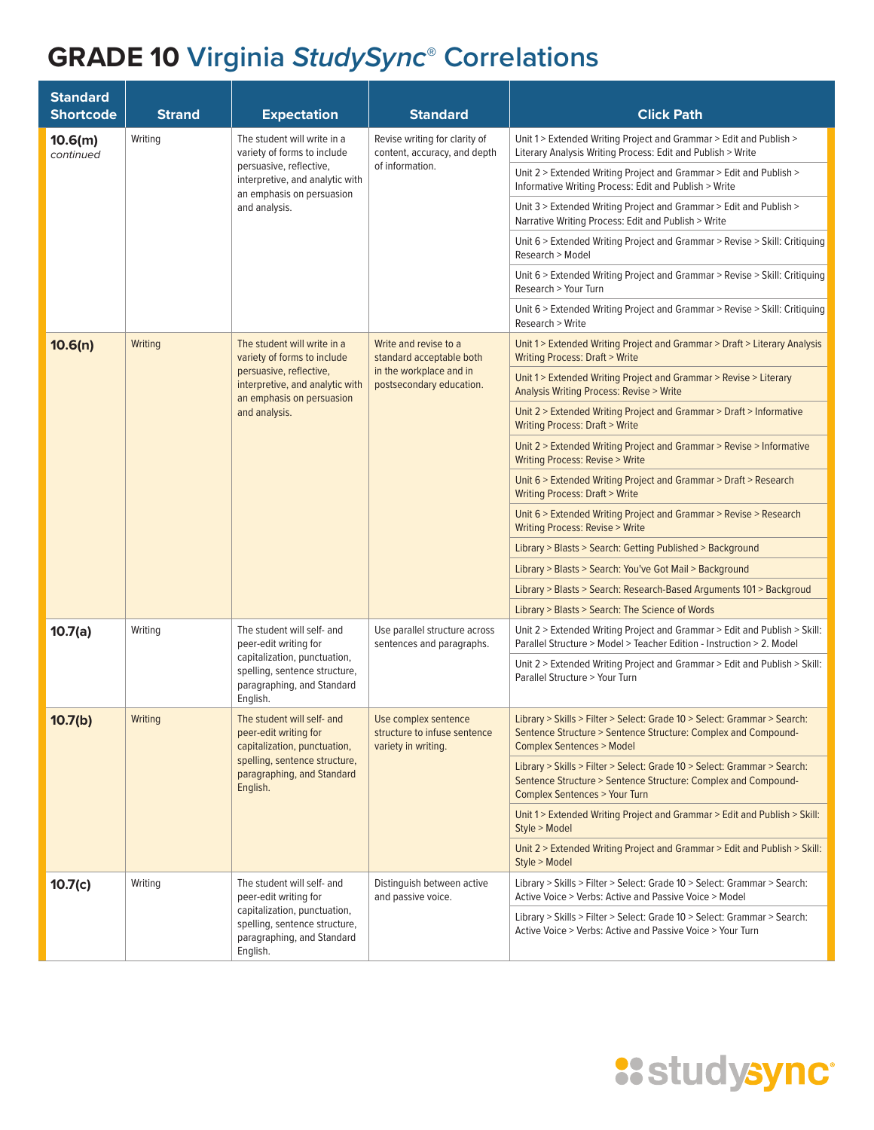| <b>Standard</b><br><b>Shortcode</b> | <b>Strand</b>                                                                                           | <b>Expectation</b>                                                                                                                                                     | <b>Standard</b>                                                                                             | <b>Click Path</b>                                                                                                                                                                     |
|-------------------------------------|---------------------------------------------------------------------------------------------------------|------------------------------------------------------------------------------------------------------------------------------------------------------------------------|-------------------------------------------------------------------------------------------------------------|---------------------------------------------------------------------------------------------------------------------------------------------------------------------------------------|
| 10.6(m)<br>continued                | Writing                                                                                                 | The student will write in a<br>variety of forms to include<br>persuasive, reflective,<br>interpretive, and analytic with<br>an emphasis on persuasion<br>and analysis. | Revise writing for clarity of<br>content, accuracy, and depth<br>of information.                            | Unit 1 > Extended Writing Project and Grammar > Edit and Publish ><br>Literary Analysis Writing Process: Edit and Publish > Write                                                     |
|                                     |                                                                                                         |                                                                                                                                                                        |                                                                                                             | Unit 2 > Extended Writing Project and Grammar > Edit and Publish ><br>Informative Writing Process: Edit and Publish > Write                                                           |
|                                     |                                                                                                         |                                                                                                                                                                        |                                                                                                             | Unit 3 > Extended Writing Project and Grammar > Edit and Publish ><br>Narrative Writing Process: Edit and Publish > Write                                                             |
|                                     |                                                                                                         |                                                                                                                                                                        |                                                                                                             | Unit 6 > Extended Writing Project and Grammar > Revise > Skill: Critiquing<br>Research > Model                                                                                        |
|                                     |                                                                                                         |                                                                                                                                                                        |                                                                                                             | Unit 6 > Extended Writing Project and Grammar > Revise > Skill: Critiquing<br>Research > Your Turn                                                                                    |
|                                     |                                                                                                         |                                                                                                                                                                        |                                                                                                             | Unit 6 > Extended Writing Project and Grammar > Revise > Skill: Critiquing<br>Research > Write                                                                                        |
| 10.6(n)                             | Writing                                                                                                 | The student will write in a<br>variety of forms to include                                                                                                             | Write and revise to a<br>standard acceptable both                                                           | Unit 1 > Extended Writing Project and Grammar > Draft > Literary Analysis<br>Writing Process: Draft > Write                                                                           |
|                                     |                                                                                                         | persuasive, reflective,<br>interpretive, and analytic with<br>an emphasis on persuasion<br>and analysis.                                                               | in the workplace and in<br>postsecondary education.                                                         | Unit 1 > Extended Writing Project and Grammar > Revise > Literary<br>Analysis Writing Process: Revise > Write                                                                         |
|                                     |                                                                                                         |                                                                                                                                                                        |                                                                                                             | Unit 2 > Extended Writing Project and Grammar > Draft > Informative<br><b>Writing Process: Draft &gt; Write</b>                                                                       |
|                                     |                                                                                                         |                                                                                                                                                                        |                                                                                                             | Unit 2 > Extended Writing Project and Grammar > Revise > Informative<br>Writing Process: Revise > Write                                                                               |
|                                     |                                                                                                         |                                                                                                                                                                        |                                                                                                             | Unit 6 > Extended Writing Project and Grammar > Draft > Research<br>Writing Process: Draft > Write                                                                                    |
|                                     |                                                                                                         |                                                                                                                                                                        |                                                                                                             | Unit 6 > Extended Writing Project and Grammar > Revise > Research<br><b>Writing Process: Revise &gt; Write</b>                                                                        |
|                                     |                                                                                                         |                                                                                                                                                                        |                                                                                                             | Library > Blasts > Search: Getting Published > Background                                                                                                                             |
|                                     |                                                                                                         |                                                                                                                                                                        |                                                                                                             | Library > Blasts > Search: You've Got Mail > Background                                                                                                                               |
|                                     |                                                                                                         |                                                                                                                                                                        |                                                                                                             | Library > Blasts > Search: Research-Based Arguments 101 > Backgroud                                                                                                                   |
|                                     |                                                                                                         |                                                                                                                                                                        |                                                                                                             | Library > Blasts > Search: The Science of Words                                                                                                                                       |
| 10.7(a)                             | Writing                                                                                                 | The student will self- and<br>peer-edit writing for                                                                                                                    | Use parallel structure across<br>sentences and paragraphs.                                                  | Unit 2 > Extended Writing Project and Grammar > Edit and Publish > Skill:<br>Parallel Structure > Model > Teacher Edition - Instruction > 2. Model                                    |
|                                     | capitalization, punctuation,<br>spelling, sentence structure,<br>paragraphing, and Standard<br>English. |                                                                                                                                                                        | Unit 2 > Extended Writing Project and Grammar > Edit and Publish > Skill:<br>Parallel Structure > Your Turn |                                                                                                                                                                                       |
| 10.7(b)                             | Writing                                                                                                 | The student will self- and<br>peer-edit writing for<br>capitalization, punctuation,<br>spelling, sentence structure,<br>paragraphing, and Standard<br>English.         | Use complex sentence<br>structure to infuse sentence<br>variety in writing.                                 | Library > Skills > Filter > Select: Grade 10 > Select: Grammar > Search:<br>Sentence Structure > Sentence Structure: Complex and Compound-<br><b>Complex Sentences &gt; Model</b>     |
|                                     |                                                                                                         |                                                                                                                                                                        |                                                                                                             | Library > Skills > Filter > Select: Grade 10 > Select: Grammar > Search:<br>Sentence Structure > Sentence Structure: Complex and Compound-<br><b>Complex Sentences &gt; Your Turn</b> |
|                                     |                                                                                                         |                                                                                                                                                                        |                                                                                                             | Unit 1> Extended Writing Project and Grammar > Edit and Publish > Skill:<br>Style > Model                                                                                             |
|                                     |                                                                                                         |                                                                                                                                                                        |                                                                                                             | Unit 2 > Extended Writing Project and Grammar > Edit and Publish > Skill:<br>Style > Model                                                                                            |
| 10.7(c)                             | Writing                                                                                                 | The student will self- and<br>peer-edit writing for<br>capitalization, punctuation,<br>spelling, sentence structure,<br>paragraphing, and Standard<br>English.         | Distinguish between active<br>and passive voice.                                                            | Library > Skills > Filter > Select: Grade 10 > Select: Grammar > Search:<br>Active Voice > Verbs: Active and Passive Voice > Model                                                    |
|                                     |                                                                                                         |                                                                                                                                                                        |                                                                                                             | Library > Skills > Filter > Select: Grade 10 > Select: Grammar > Search:<br>Active Voice > Verbs: Active and Passive Voice > Your Turn                                                |

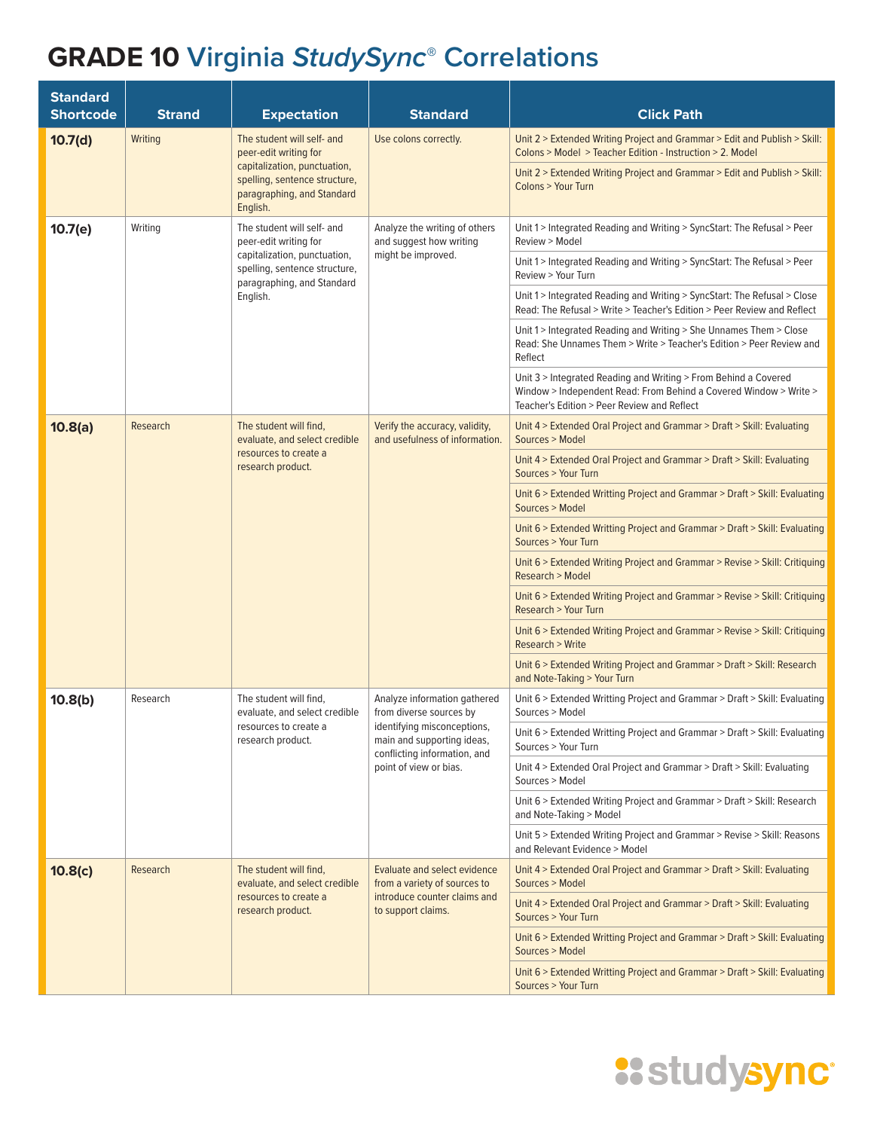| <b>Standard</b><br><b>Shortcode</b> | <b>Strand</b> | <b>Expectation</b>                                                                                                                                             | <b>Standard</b>                                                                                                                                                                | <b>Click Path</b>                                                                                                                                                                   |
|-------------------------------------|---------------|----------------------------------------------------------------------------------------------------------------------------------------------------------------|--------------------------------------------------------------------------------------------------------------------------------------------------------------------------------|-------------------------------------------------------------------------------------------------------------------------------------------------------------------------------------|
| 10.7(d)                             | Writing       | The student will self- and<br>peer-edit writing for<br>capitalization, punctuation,<br>spelling, sentence structure,<br>paragraphing, and Standard<br>English. | Use colons correctly.                                                                                                                                                          | Unit 2 > Extended Writing Project and Grammar > Edit and Publish > Skill:<br>Colons > Model > Teacher Edition - Instruction > 2. Model                                              |
|                                     |               |                                                                                                                                                                |                                                                                                                                                                                | Unit 2 > Extended Writing Project and Grammar > Edit and Publish > Skill:<br>Colons > Your Turn                                                                                     |
| 10.7(e)                             | Writing       | The student will self- and<br>peer-edit writing for<br>capitalization, punctuation,<br>spelling, sentence structure,<br>paragraphing, and Standard<br>English. | Analyze the writing of others<br>and suggest how writing<br>might be improved.                                                                                                 | Unit 1 > Integrated Reading and Writing > SyncStart: The Refusal > Peer<br>Review > Model                                                                                           |
|                                     |               |                                                                                                                                                                |                                                                                                                                                                                | Unit 1 > Integrated Reading and Writing > SyncStart: The Refusal > Peer<br>Review > Your Turn                                                                                       |
|                                     |               |                                                                                                                                                                |                                                                                                                                                                                | Unit 1 > Integrated Reading and Writing > SyncStart: The Refusal > Close<br>Read: The Refusal > Write > Teacher's Edition > Peer Review and Reflect                                 |
|                                     |               |                                                                                                                                                                |                                                                                                                                                                                | Unit 1 > Integrated Reading and Writing > She Unnames Them > Close<br>Read: She Unnames Them > Write > Teacher's Edition > Peer Review and<br>Reflect                               |
|                                     |               |                                                                                                                                                                |                                                                                                                                                                                | Unit 3 > Integrated Reading and Writing > From Behind a Covered<br>Window > Independent Read: From Behind a Covered Window > Write ><br>Teacher's Edition > Peer Review and Reflect |
| 10.8(a)                             | Research      | The student will find,<br>evaluate, and select credible<br>resources to create a<br>research product.                                                          | Verify the accuracy, validity,<br>and usefulness of information.                                                                                                               | Unit 4 > Extended Oral Project and Grammar > Draft > Skill: Evaluating<br>Sources > Model                                                                                           |
|                                     |               |                                                                                                                                                                |                                                                                                                                                                                | Unit 4 > Extended Oral Project and Grammar > Draft > Skill: Evaluating<br>Sources > Your Turn                                                                                       |
|                                     |               |                                                                                                                                                                |                                                                                                                                                                                | Unit 6 > Extended Writting Project and Grammar > Draft > Skill: Evaluating<br>Sources > Model                                                                                       |
|                                     |               |                                                                                                                                                                |                                                                                                                                                                                | Unit 6 > Extended Writting Project and Grammar > Draft > Skill: Evaluating<br>Sources > Your Turn                                                                                   |
|                                     |               |                                                                                                                                                                |                                                                                                                                                                                | Unit 6 > Extended Writing Project and Grammar > Revise > Skill: Critiquing<br>Research > Model                                                                                      |
|                                     |               |                                                                                                                                                                |                                                                                                                                                                                | Unit 6 > Extended Writing Project and Grammar > Revise > Skill: Critiquing<br>Research > Your Turn                                                                                  |
|                                     |               |                                                                                                                                                                |                                                                                                                                                                                | Unit 6 > Extended Writing Project and Grammar > Revise > Skill: Critiquing<br>Research > Write                                                                                      |
|                                     |               |                                                                                                                                                                |                                                                                                                                                                                | Unit 6 > Extended Writing Project and Grammar > Draft > Skill: Research<br>and Note-Taking > Your Turn                                                                              |
| 10.8(b)                             | Research      | The student will find,<br>evaluate, and select credible<br>resources to create a<br>research product.                                                          | Analyze information gathered<br>from diverse sources by<br>identifying misconceptions,<br>main and supporting ideas,<br>conflicting information, and<br>point of view or bias. | Unit 6 > Extended Writting Project and Grammar > Draft > Skill: Evaluating<br>Sources > Model                                                                                       |
|                                     |               |                                                                                                                                                                |                                                                                                                                                                                | Unit 6 > Extended Writting Project and Grammar > Draft > Skill: Evaluating<br>Sources > Your Turn                                                                                   |
|                                     |               |                                                                                                                                                                |                                                                                                                                                                                | Unit 4 > Extended Oral Project and Grammar > Draft > Skill: Evaluating<br>Sources > Model                                                                                           |
|                                     |               |                                                                                                                                                                |                                                                                                                                                                                | Unit 6 > Extended Writing Project and Grammar > Draft > Skill: Research<br>and Note-Taking > Model                                                                                  |
|                                     |               |                                                                                                                                                                |                                                                                                                                                                                | Unit 5 > Extended Writing Project and Grammar > Revise > Skill: Reasons<br>and Relevant Evidence > Model                                                                            |
| 10.8(c)                             | Research      | The student will find,<br>evaluate, and select credible<br>resources to create a<br>research product.                                                          | <b>Evaluate and select evidence</b><br>from a variety of sources to<br>introduce counter claims and<br>to support claims.                                                      | Unit 4 > Extended Oral Project and Grammar > Draft > Skill: Evaluating<br>Sources > Model                                                                                           |
|                                     |               |                                                                                                                                                                |                                                                                                                                                                                | Unit 4 > Extended Oral Project and Grammar > Draft > Skill: Evaluating<br>Sources > Your Turn                                                                                       |
|                                     |               |                                                                                                                                                                |                                                                                                                                                                                | Unit 6 > Extended Writting Project and Grammar > Draft > Skill: Evaluating<br>Sources > Model                                                                                       |
|                                     |               |                                                                                                                                                                |                                                                                                                                                                                | Unit 6 > Extended Writting Project and Grammar > Draft > Skill: Evaluating<br>Sources > Your Turn                                                                                   |